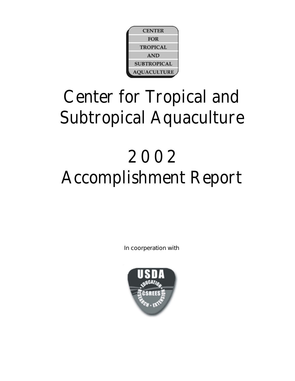

# Center for Tropical and Subtropical Aquaculture

# 2 0 0 2 Accomplishment Report

In coorperation with

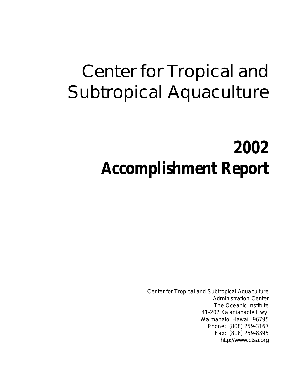# Center for Tropical and Subtropical Aquaculture

# **2002 Accomplishment Report**

Center for Tropical and Subtropical Aquaculture Administration Center The Oceanic Institute 41-202 Kalanianaole Hwy. Waimanalo, Hawaii 96795 Phone: (808) 259-3167 Fax: (808) 259-8395 http://www.ctsa.org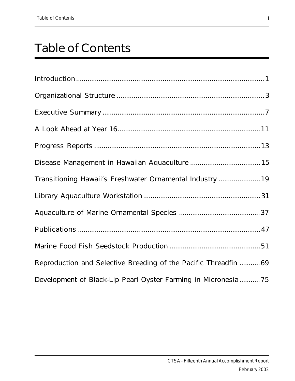## Table of Contents

| Transitioning Hawaii's Freshwater Ornamental Industry  19        |
|------------------------------------------------------------------|
|                                                                  |
|                                                                  |
|                                                                  |
|                                                                  |
| Reproduction and Selective Breeding of the Pacific Threadfin  69 |
| Development of Black-Lip Pearl Oyster Farming in Micronesia75    |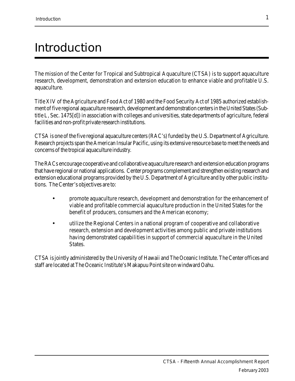## Introduction

The mission of the Center for Tropical and Subtropical Aquaculture (CTSA) is to support aquaculture research, development, demonstration and extension education to enhance viable and profitable U.S. aquaculture.

Title XIV of the Agriculture and Food Act of 1980 and the Food Security Act of 1985 authorized establishment of five regional aquaculture research, development and demonstration centers in the United States (Subtitle L, Sec. 1475[d]) in association with colleges and universities, state departments of agriculture, federal facilities and non-profit private research institutions.

CTSA is one of the five regional aquaculture centers (RAC's) funded by the U.S. Department of Agriculture. Research projects span the American Insular Pacific, using its extensive resource base to meet the needs and concerns of the tropical aquaculture industry.

The RACs encourage cooperative and collaborative aquaculture research and extension education programs that have regional or national applications. Center programs complement and strengthen existing research and extension educational programs provided by the U.S. Department of Agriculture and by other public institutions. The Center's objectives are to:

- promote aquaculture research, development and demonstration for the enhancement of viable and profitable commercial aquaculture production in the United States for the benefit of producers, consumers and the American economy;
- utilize the Regional Centers in a national program of cooperative and collaborative research, extension and development activities among public and private institutions having demonstrated capabilities in support of commercial aquaculture in the United States.

CTSA is jointly administered by the University of Hawaii and The Oceanic Institute. The Center offices and staff are located at The Oceanic Institute's Makapuu Point site on windward Oahu.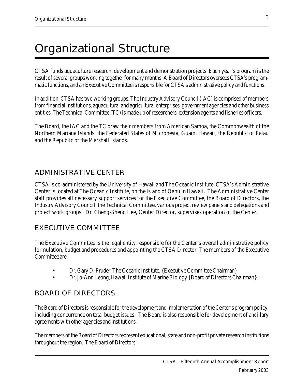## Organizational Structure

CTSA funds aquaculture research, development and demonstration projects. Each year's program is the result of several groups working together for many months. A Board of Directors oversees CTSA's programmatic functions, and an Executive Committee is responsible for CTSA's administrative policy and functions.

In addition, CTSA has two working groups. The Industry Advisory Council (IAC) is comprised of members from financial institutions, aquacultural and agricultural enterprises, government agencies and other business entities. The Technical Committee (TC) is made up of researchers, extension agents and fisheries officers.

The Board, the IAC and the TC draw their members from American Samoa, the Commonwealth of the Northern Mariana Islands, the Federated States of Micronesia, Guam, Hawaii, the Republic of Palau and the Republic of the Marshall Islands.

### ADMINISTRATIVE CENTER

CTSA is co-administered by the University of Hawaii and The Oceanic Institute. CTSA's Administrative Center is located at The Oceanic Institute, on the island of Oahu in Hawaii. The Administrative Center staff provides all necessary support services for the Executive Committee, the Board of Directors, the Industry Advisory Council, the Technical Committee, various project review panels and delegations and project work groups. Dr. Cheng-Sheng Lee, Center Director, supervises operation of the Center.

### EXECUTIVE COMMITTEE

The Executive Committee is the legal entity responsible for the Center's overall administrative policy formulation, budget and procedures and appointing the CTSA Director. The members of the Executive Committee are:

- Dr. Gary D. Pruder, The Oceanic Institute, {Executive Committee Chairman};
- Dr. Jo-Ann Leong, Hawaii Institute of Marine Biology {Board of Directors Chairman}.

### BOARD OF DIRECTORS

The Board of Directors is responsible for the development and implementation of the Center's program policy, including concurrence on total budget issues. The Board is also responsible for development of ancillary agreements with other agencies and institutions.

The members of the Board of Directors represent educational, state and non-profit private research institutions throughout the region. The Board of Directors: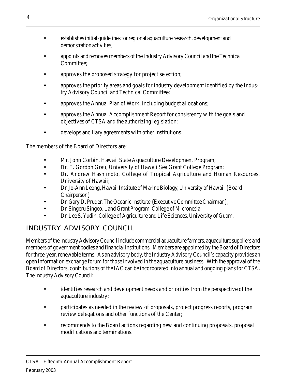- establishes initial guidelines for regional aquaculture research, development and demonstration activities;
- appoints and removes members of the Industry Advisory Council and the Technical Committee;
- approves the proposed strategy for project selection;
- approves the priority areas and goals for industry development identified by the Industry Advisory Council and Technical Committee;
- approves the Annual Plan of Work, including budget allocations;
- approves the Annual Accomplishment Report for consistency with the goals and objectives of CTSA and the authorizing legislation;
- develops ancillary agreements with other institutions.

The members of the Board of Directors are:

- Mr. John Corbin, Hawaii State Aquaculture Development Program;
- Dr. E. Gordon Grau, University of Hawaii Sea Grant College Program;
- Dr. Andrew Hashimoto, College of Tropical Agriculture and Human Resources, University of Hawaii;
- Dr. Jo-Ann Leong, Hawaii Institute of Marine Biology, University of Hawaii {Board Chairperson}
- Dr. Gary D. Pruder, The Oceanic Institute {Executive Committee Chairman};
- Dr. Singeru Singeo, Land Grant Program, College of Micronesia;
- Dr. Lee S. Yudin, College of Agriculture and Life Sciences, University of Guam.

## INDUSTRY ADVISORY COUNCIL

Members of the Industry Advisory Council include commercial aquaculture farmers, aquaculture suppliers and members of government bodies and financial institutions. Members are appointed by the Board of Directors for three-year, renewable terms. As an advisory body, the Industry Advisory Council's capacity provides an open information exchange forum for those involved in the aquaculture business. With the approval of the Board of Directors, contributions of the IAC can be incorporated into annual and ongoing plans for CTSA. The Industry Advisory Council:

- identifies research and development needs and priorities from the perspective of the aquaculture industry;
- participates as needed in the review of proposals, project progress reports, program review delegations and other functions of the Center;
- recommends to the Board actions regarding new and continuing proposals, proposal modifications and terminations.

4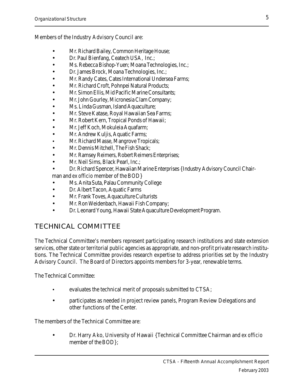Members of the Industry Advisory Council are:

- Mr. Richard Bailey, Common Heritage House;
- Dr. Paul Bienfang, Ceatech USA, Inc.;
- Ms. Rebecca Bishop-Yuen; Moana Technologies, Inc.;
- Dr. James Brock, Moana Technologies, Inc.;
- Mr. Randy Cates, Cates International Undersea Farms;
- Mr. Richard Croft, Pohnpei Natural Products;
- Mr. Simon Ellis, Mid Pacific Marine Consultants;
- Mr. John Gourley, Micronesia Clam Company;
- Ms. Linda Gusman, Island Aquaculture;
- Mr. Steve Katase, Royal Hawaiian Sea Farms;
- Mr. Robert Kern, Tropical Ponds of Hawaii;
- Mr. Jeff Koch, Mokuleia Aquafarm;
- Mr. Andrew Kuljis, Aquatic Farms;
- Mr. Richard Masse, Mangrove Tropicals;
- Mr. Dennis Mitchell, The Fish Shack;
- Mr. Ramsey Reimers, Robert Reimers Enterprises;
- Mr. Neil Sims, Black Pearl, Inc.;
- Dr. Richard Spencer, Hawaiian Marine Enterprises {Industry Advisory Council Chairman and ex officio member of the BOD}
- Ms. Anita Suta, Palau Community College
- Dr. Albert Tacon, Aquatic Farms
- Mr. Frank Toves, Aquaculture Culturists
- Mr. Ron Weidenbach, Hawaii Fish Company;
- Dr. Leonard Young, Hawaii State Aquaculture Development Program.

### TECHNICAL COMMITTEE

The Technical Committee's members represent participating research institutions and state extension services, other state or territorial public agencies as appropriate, and non-profit private research institutions. The Technical Committee provides research expertise to address priorities set by the Industry Advisory Council. The Board of Directors appoints members for 3-year, renewable terms.

The Technical Committee:

- evaluates the technical merit of proposals submitted to CTSA;
- participates as needed in project review panels, Program Review Delegations and other functions of the Center.

The members of the Technical Committee are:

• Dr. Harry Ako, University of Hawaii {Technical Committee Chairman and ex officio member of the BOD};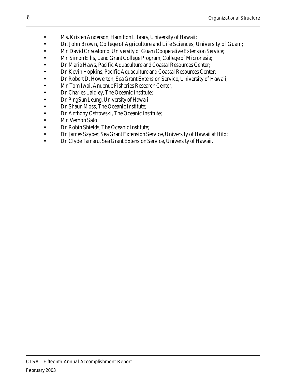- Ms. Kristen Anderson, Hamilton Library, University of Hawaii;
- Dr. John Brown, College of Agriculture and Life Sciences, University of Guam;
- Mr. David Crisostomo, University of Guam Cooperative Extension Service;
- Mr. Simon Ellis, Land Grant College Program, College of Micronesia;
- Dr. Maria Haws, Pacific Aquaculture and Coastal Resources Center;
- Dr. Kevin Hopkins, Pacific Aquaculture and Coastal Resources Center;
- Dr. Robert D. Howerton, Sea Grant Extension Service, University of Hawaii;
- Mr. Tom Iwai, Anuenue Fisheries Research Center;
- Dr. Charles Laidley, The Oceanic Institute;
- Dr. PingSun Leung, University of Hawaii;
- Dr. Shaun Moss, The Oceanic Institute;
- Dr. Anthony Ostrowski, The Oceanic Institute;
- Mr. Vernon Sato
- Dr. Robin Shields, The Oceanic Institute;
- Dr. James Szyper, Sea Grant Extension Service, University of Hawaii at Hilo;
- Dr. Clyde Tamaru, Sea Grant Extension Service, University of Hawaii.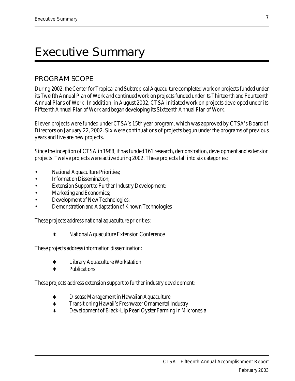## Executive Summary

### PROGRAM SCOPE

During 2002, the Center for Tropical and Subtropical Aquaculture completed work on projects funded under its Twelfth Annual Plan of Work and continued work on projects funded under its Thirteenth and Fourteenth Annual Plans of Work. In addition, in August 2002, CTSA initiated work on projects developed under its Fifteenth Annual Plan of Work and began developing its Sixteenth Annual Plan of Work.

Eleven projects were funded under CTSA's 15th year program, which was approved by CTSA's Board of Directors on January 22, 2002. Six were continuations of projects begun under the programs of previous years and five are new projects.

Since the inception of CTSA in 1988, it has funded 161 research, demonstration, development and extension projects. Twelve projects were active during 2002. These projects fall into six categories:

- National Aquaculture Priorities;
- Information Dissemination;
- Extension Support to Further Industry Development;
- Marketing and Economics;
- Development of New Technologies;
- Demonstration and Adaptation of Known Technologies

These projects address national aquaculture priorities:

∗ National Aquaculture Extension Conference

These projects address information dissemination:

- ∗ Library Aquaculture Workstation
- ∗ Publications

These projects address extension support to further industry development:

- ∗ Disease Management in Hawaiian Aquaculture
- ∗ Transitioning Hawaii's Freshwater Ornamental Industry
- ∗ Development of Black-Lip Pearl Oyster Farming in Micronesia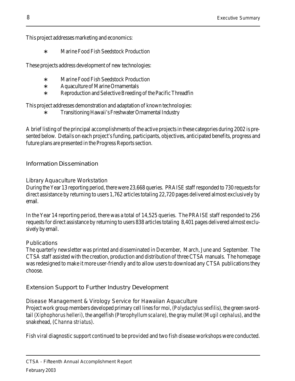This project addresses marketing and economics:

∗ Marine Food Fish Seedstock Production

These projects address development of new technologies:

- ∗ Marine Food Fish Seedstock Production
- ∗ Aquaculture of Marine Ornamentals
- ∗ Reproduction and Selective Breeding of the Pacific Threadfin

This project addresses demonstration and adaptation of known technologies:

∗ Transitioning Hawaii's Freshwater Ornamental Industry

A brief listing of the principal accomplishments of the active projects in these categories during 2002 is presented below. Details on each project's funding, participants, objectives, anticipated benefits, progress and future plans are presented in the Progress Reports section.

Information Dissemination

Library Aquaculture Workstation

During the Year 13 reporting period, there were 23,668 queries. PRAISE staff responded to 730 requests for direct assistance by returning to users 1,762 articles totaling 22,720 pages delivered almost exclusively by email.

In the Year 14 reporting period, there was a total of 14,525 queries. The PRAISE staff responded to 256 requests for direct assistance by returning to users 838 articles totaling 8,401 pages delivered almost exclusively by email.

### **Publications**

The quarterly newsletter was printed and disseminated in December, March, June and September. The CTSA staff assisted with the creation, production and distribution of three CTSA manuals. The homepage was redesigned to make it more user-friendly and to allow users to download any CTSA publications they choose.

Extension Support to Further Industry Development

Disease Management & Virology Service for Hawaiian Aquaculture Project work group members developed primary cell lines for moi, (Polydactylus sexfilis), the green sword-

tail (Xiphophorus helleri), the angelfish (Pterophyllum scalare), the gray mullet (Mugil cephalus), and the snakehead, (Channa striatus).

Fish viral diagnostic support continued to be provided and two fish disease workshops were conducted.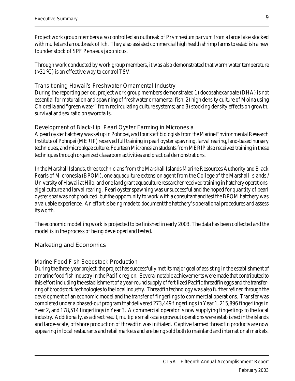Project work group members also controlled an outbreak of Prymnesium parvum from a large lake stocked with mullet and an outbreak of Ich. They also assisted commercial high health shrimp farms to establish a new founder stock of SPF Penaeus japonicus.

Through work conducted by work group members, it was also demonstrated that warm water temperature (>31 ºC) is an effective way to control TSV.

Transitioning Hawaii's Freshwater Ornamental Industry

During the reporting period, project work group members demonstrated 1) docosahexanoate (DHA) is not essential for maturation and spawning of freshwater ornamental fish; 2) high density culture of Moina using Chlorella and "green water" from recirculating culture systems; and 3) stocking density effects on growth, survival and sex ratio on swordtails.

Development of Black-Lip Pearl Oyster Farming in Micronesia

A pearl oyster hatchery was set up in Pohnpei, and four staff biologists from the Marine Environmental Research Institute of Pohnpei (MERIP) received full training in pearl oyster spawning, larval rearing, land-based nursery techniques, and microalgae culture. Fourteen Micronesian students from MERIP also received training in these techniques through organized classroom activities and practical demonstrations.

In the Marshall Islands, three technicians from the Marshall Islands Marine Resources Authority and Black Pearls of Micronesia (BPOM), one aquaculture extension agent from the College of the Marshall Islands / University of Hawaii at Hilo, and one land grant aquaculture researcher received training in hatchery operations, algal culture and larval rearing. Pearl oyster spawning was unsuccessful and the hoped for quantity of pearl oyster spat was not produced, but the opportunity to work with a consultant and test the BPOM hatchery was a valuable experience. An effort is being made to document the hatchery's operational procedures and assess its worth.

The economic modelling work is projected to be finished in early 2003. The data has been collected and the model is in the process of being developed and tested.

Marketing and Economics

#### Marine Food Fish Seedstock Production

During the three-year project, the project has successfully met its major goal of assisting in the establishment of a marine food fish industry in the Pacific region. Several notable achievements were made that contributed to this effort including the establishment of a year-round supply of fertilized Pacific threadfin eggs and the transferring of broodstock technologies to the local industry. Threadfin technology was also further refined through the development of an economic model and the transfer of fingerlings to commercial operations. Transfer was completed under a phased-out program that delivered 273,449 fingerlings in Year 1, 215,896 fingerlings in Year 2, and 178,514 fingerlings in Year 3. A commercial operator is now supplying fingerlings to the local industry. Additionally, as a direct result, multiple small-scale growout operations were established in the islands and large-scale, offshore production of threadfin was initiated. Captive farmed threadfin products are now appearing in local restaurants and retail markets and are being sold both to mainland and international markets.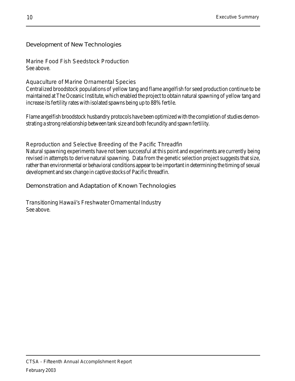Development of New Technologies

Marine Food Fish Seedstock Production See above.

Aquaculture of Marine Ornamental Species

Centralized broodstock populations of yellow tang and flame angelfish for seed production continue to be maintained at The Oceanic Institute, which enabled the project to obtain natural spawning of yellow tang and increase its fertility rates with isolated spawns being up to 88% fertile.

Flame angelfish broodstock husbandry protocols have been optimized with the completion of studies demonstrating a strong relationship between tank size and both fecundity and spawn fertility.

Reproduction and Selective Breeding of the Pacific Threadfin

Natural spawning experiments have not been successful at this point and experiments are currently being revised in attempts to derive natural spawning. Data from the genetic selection project suggests that size, rather than environmental or behavioral conditions appear to be important in determining the timing of sexual development and sex change in captive stocks of Pacific threadfin.

Demonstration and Adaptation of Known Technologies

Transitioning Hawaii's Freshwater Ornamental Industry See above.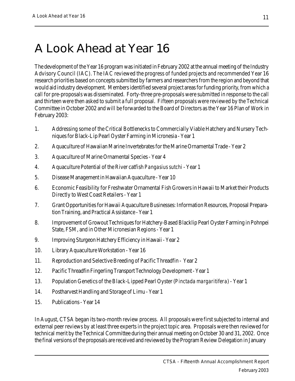## A Look Ahead at Year 16

The development of the Year 16 program was initiated in February 2002 at the annual meeting of the Industry Advisory Council (IAC). The IAC reviewed the progress of funded projects and recommended Year 16 research priorities based on concepts submitted by farmers and researchers from the region and beyond that would aid industry development. Members identified several project areas for funding priority, from which a call for pre-proposals was disseminated. Forty-three pre-proposals were submitted in response to the call and thirteen were then asked to submit a full proposal. Fifteen proposals were reviewed by the Technical Committee in October 2002 and will be forwarded to the Board of Directors as the Year 16 Plan of Work in February 2003:

- 1. Addressing some of the Critical Bottlenecks to Commercially Viable Hatchery and Nursery Techniques for Black-Lip Pearl Oyster Farming in Micronesia - Year 1
- 2. Aquaculture of Hawaiian Marine Invertebrates for the Marine Ornamental Trade Year 2
- 3. Aquaculture of Marine Ornamental Species Year 4
- 4. Aquaculture Potential of the River catfish Pangasius sutchi Year 1
- 5. Disease Management in Hawaiian Aquaculture Year 10
- 6. Economic Feasibility for Freshwater Ornamental Fish Growers in Hawaii to Market their Products Directly to West Coast Retailers - Year 1
- 7. Grant Opportunities for Hawaii Aquaculture Businesses: Information Resources, Proposal Preparation Training, and Practical Assistance - Year 1
- 8. Improvement of Growout Techniques for Hatchery-Based Blacklip Pearl Oyster Farming in Pohnpei State, FSM, and in Other Micronesian Regions - Year 1
- 9. Improving Sturgeon Hatchery Efficiency in Hawaii Year 2
- 10. Library Aquaculture Workstation Year 16
- 11. Reproduction and Selective Breeding of Pacific Threadfin Year 2
- 12. Pacific Threadfin Fingerling Transport Technology Development Year 1
- 13. Population Genetics of the Black-Lipped Pearl Oyster (Pinctada margaritifera) Year 1
- 14. Postharvest Handling and Storage of Limu Year 1
- 15. Publications Year 14

In August, CTSA began its two-month review process. All proposals were first subjected to internal and external peer reviews by at least three experts in the project topic area. Proposals were then reviewed for technical merit by the Technical Committee during their annual meeting on October 30 and 31, 2002. Once the final versions of the proposals are received and reviewed by the Program Review Delegation in January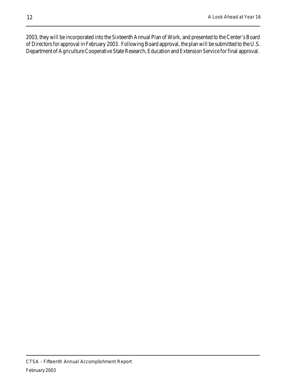2003, they will be incorporated into the Sixteenth Annual Plan of Work, and presented to the Center's Board of Directors for approval in February 2003. Following Board approval, the plan will be submitted to the U.S. Department of Agriculture Cooperative State Research, Education and Extension Service for final approval.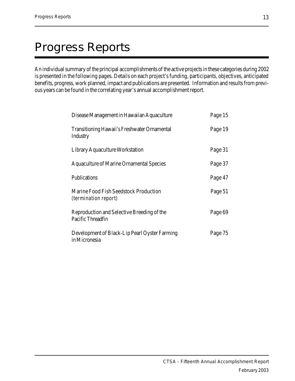## Progress Reports

An individual summary of the principal accomplishments of the active projects in these categories during 2002 is presented in the following pages. Details on each project's funding, participants, objectives, anticipated benefits, progress, work planned, impact and publications are presented. Information and results from previous years can be found in the correlating year's annual accomplishment report.

| Disease Management in Hawaiian Aquaculture                      | Page 15 |
|-----------------------------------------------------------------|---------|
| <b>Transitioning Hawaii's Freshwater Ornamental</b><br>Industry | Page 19 |
| Library Aquaculture Workstation                                 | Page 31 |
| <b>Aquaculture of Marine Ornamental Species</b>                 | Page 37 |
| Publications                                                    | Page 47 |
| Marine Food Fish Seedstock Production<br>(termination report)   | Page 51 |
| Reproduction and Selective Breeding of the<br>Pacific Threadfin | Page 69 |
| Development of Black-Lip Pearl Oyster Farming<br>in Micronesia  | Page 75 |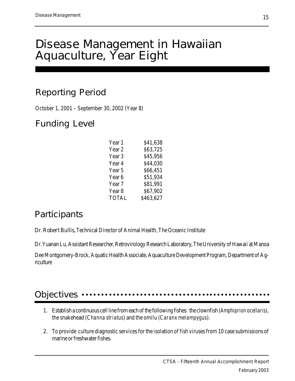## Disease Management in Hawaiian Aquaculture, Year Eight

## Reporting Period

October 1, 2001 – September 30, 2002 (Year 8)

## Funding Level

| Year 1            | \$41,638  |
|-------------------|-----------|
| Year 2            | \$63,725  |
| Year <sub>3</sub> | \$45,956  |
| Year 4            | \$44,030  |
| Year 5            | \$66,451  |
| Year 6            | \$51,934  |
| Year 7            | \$81,991  |
| Year <sub>8</sub> | \$67,902  |
| <b>TOTAL</b>      | \$463,627 |

## **Participants**

Dr. Robert Bullis, Technical Director of Animal Health, The Oceanic Institute

Dr. Yuanan Lu, Assistant Researcher, Retrovirology Research Laboratory, The University of Hawaii at Manoa

Dee Montgomery-Brock, Aquatic Health Associate, Aquaculture Development Program, Department of Agriculture

#### Objectives •• aaaaaaaaaaaaaaaaaaaaaaaaaaaaaaaaa aaaaaaaaaaaaaaaa

- 1. Establish a continuous cell line from each of the following fishes: the clownfish (Amphiprion ocellaris), the snakehead (Channa striatus) and the omilu (Caranx melampygus).
- 2. To provide culture diagnostic services for the isolation of fish viruses from 10 case submissions of marine or freshwater fishes.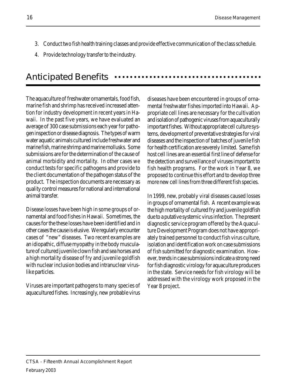- 3. Conduct two fish health training classes and provide effective communication of the class schedule.
- 4. Provide technology transfer to the industry.

#### Anticipated Benefits aaaaaaaaaaaaaaaaaaaaaaaaaaaaaaaaaaaaaa

The aquaculture of freshwater ornamentals, food fish, marine fish and shrimp has received increased attention for industry development in recent years in Hawaii. In the past five years, we have evaluated an average of 300 case submissions each year for pathogen inspection or disease diagnosis. The types of warm water aquatic animals cultured include freshwater and marine fish, marine shrimp and marine mollusks. Some submissions are for the determination of the cause of animal morbidity and mortality. In other cases we conduct tests for specific pathogens and provide to the client documentation of the pathogen status of the product. The inspection documents are necessary as quality control measures for national and international animal transfer.

Disease losses have been high in some groups of ornamental and food fishes in Hawaii. Sometimes, the causes for the these losses have been identified and in other cases the cause is elusive. We regularly encounter cases of "new" diseases. Two recent examples are an idiopathic, diffuse myopathy in the body musculature of cultured juvenile clown fish and sea horses and a high mortality disease of fry and juvenile goldfish with nuclear inclusion bodies and intranuclear viruslike particles.

Viruses are important pathogens to many species of aquacultured fishes. Increasingly, new probable virus diseases have been encountered in groups of ornamental freshwater fishes imported into Hawaii. Appropriate cell lines are necessary for the cultivation and isolation of pathogenic viruses from aquaculturally important fishes. Without appropriate cell culture systems, development of preventative strategies for viral diseases and the inspection of batches of juvenile fish for health certification are severely limited. Same fish host cell lines are an essential first line of defense for the detection and surveillance of viruses important to fish health programs. For the work in Year 8, we proposed to continue this effort and to develop three more new cell lines from three different fish species.

In 1999, new, probably viral diseases caused losses in groups of ornamental fish. A recent example was the high mortality of cultured fry and juvenile goldfish due to a putative systemic virus infection. The present diagnostic service program offered by the Aquaculture Development Program does not have appropriately trained personnel to conduct fish virus culture, isolation and identification work on case submissions of fish submitted for diagnostic examination. However, trends in case submissions indicate a strong need for fish diagnostic virology for aquaculture producers in the state. Service needs for fish virology will be addressed with the virology work proposed in the Year 8 project.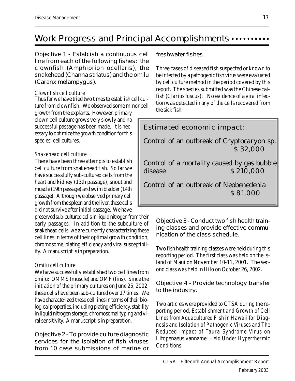## Work Progress and Principal Accomplishments •••••••••••

Objective 1 - Establish a continuous cell line from each of the following fishes: the clownfish (Amphiprion ocellaris), the snakehead (Channa striatus) and the omilu (Caranx melampygus).

#### Clownfish cell culture

Thus far we have tried two times to establish cell culture from clownfish. We observed some minor cell

growth from the explants. However, primary clown cell culture grows very slowly and no successful passage has been made. It is necessary to optimize the growth condition for this species' cell cultures.

#### Snakehead cell culture

There have been three attempts to establish cell culture from snakehead fish. So far we have successfully sub-cultured cells from the heart and kidney (13th passage), snout and muscle (19th passage) and swim bladder (14th passage). Although we observed primary cell growth from the spleen and the liver, these cells did not survive after initial passage. We have

preserved sub-cultured cells in liquid nitrogen from their early passages. In addition to the subculture of snakehead cells, we are currently characterizing these cell lines in terms of their optimal growth condition, chromosome, plating efficiency and viral susceptibility. A manuscript is in preparation.

#### Omilu cell culture

We have successfully established two cell lines from omilu: OMMS (muscle) and OMF (fins). Since the initiation of the primary cultures on June 25, 2002, these cells have been sub-cultured over 17 times. We have characterized these cell lines in terms of their biological properties, including plating efficiency, stability in liquid nitrogen storage, chromosomal typing and viral sensitivity. A manuscript is in preparation.

Objective 2 - To provide culture diagnostic services for the isolation of fish viruses from 10 case submissions of marine or

freshwater fishes.

Three cases of diseased fish suspected or known to be infected by a pathogenic fish virus were evaluated by cell culture method in the period covered by this report. The species submitted was the Chinese catfish (Clarius fuscus). No evidence of a viral infection was detected in any of the cells recovered from the sick fish.

### Estimated economic impact:

Control of an outbreak of Cryptocaryon sp. \$ 32,000

Control of a mortality caused by gas bubble disease \$ 210,000

Control of an outbreak of Neobenedenia \$ 81,000

Objective 3 - Conduct two fish health training classes and provide effective communication of the class schedule.

Two fish health training classes were held during this reporting period. The first class was held on the island of Maui on November 10-11, 2001. The second class was held in Hilo on October 26, 2002.

Objective 4 - Provide technology transfer to the industry.

Two articles were provided to CTSA during the reporting period, Establishment and Growth of Cell Lines from Aquacultured Fish in Hawaii for Diagnosis and Isolation of Pathogenic Viruses and The Reduced Impact of Taura Syndrome Virus on Litopenaeus vannamei Held Under Hyperthermic Conditions.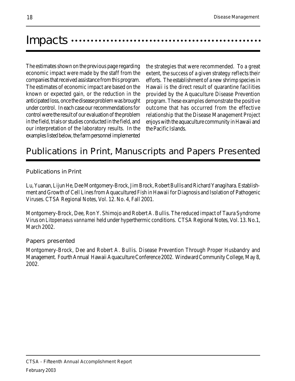## Impacts …………………………………

The estimates shown on the previous page regarding economic impact were made by the staff from the companies that received assistance from this program. The estimates of economic impact are based on the known or expected gain, or the reduction in the anticipated loss, once the disease problem was brought under control. In each case our recommendations for control were the result of our evaluation of the problem in the field, trials or studies conducted in the field, and our interpretation of the laboratory results. In the examples listed below, the farm personnel implemented

the strategies that were recommended. To a great extent, the success of a given strategy reflects their efforts. The establishment of a new shrimp species in Hawaii is the direct result of quarantine facilities provided by the Aquaculture Disease Prevention program. These examples demonstrate the positive outcome that has occurred from the effective relationship that the Disease Management Project enjoys with the aquaculture community in Hawaii and the Pacific Islands.

## Publications in Print, Manuscripts and Papers Presented

#### Publications in Print

Lu, Yuanan, Lijun He, Dee Montgomery-Brock, Jim Brock, Robert Bullis and Richard Yanagihara. Establishment and Growth of Cell Lines from Aquacultured Fish in Hawaii for Diagnosis and Isolation of Pathogenic Viruses. CTSA Regional Notes, Vol. 12. No. 4, Fall 2001.

Montgomery-Brock, Dee, Ron Y. Shimojo and Robert A. Bullis. The reduced impact of Taura Syndrome Virus on Litopenaeus vannamei held under hyperthermic conditions. CTSA Regional Notes, Vol. 13. No.1, March 2002.

#### Papers presented

Montgomery-Brock, Dee and Robert A. Bullis. Disease Prevention Through Proper Husbandry and Management. Fourth Annual Hawaii Aquaculture Conference 2002. Windward Community College, May 8, 2002.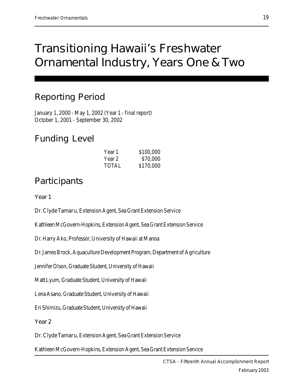## Transitioning Hawaii's Freshwater Ornamental Industry, Years One & Two

## Reporting Period

January 1, 2000 - May 1, 2002 (Year 1 - final report) October 1, 2001 - September 30, 2002

## Funding Level

| Year 1 | \$100,000 |
|--------|-----------|
| Year 2 | \$70,000  |
| TOTAL  | \$170,000 |

## **Participants**

Year 1

Dr. Clyde Tamaru, Extension Agent, Sea Grant Extension Service

Kathleen McGovern-Hopkins, Extension Agent, Sea Grant Extension Service

Dr. Harry Ako, Professor, University of Hawaii at Manoa

Dr. James Brock, Aquaculture Development Program, Department of Agriculture

Jennifer Olson, Graduate Student, University of Hawaii

Matt Lyum, Graduate Student, University of Hawaii

Lena Asano, Graduate Student, University of Hawaii

Eri Shimizu, Graduate Student, University of Hawaii

Year 2

Dr. Clyde Tamaru, Extension Agent, Sea Grant Extension Service

Kathleen McGovern-Hopkins, Extension Agent, Sea Grant Extension Service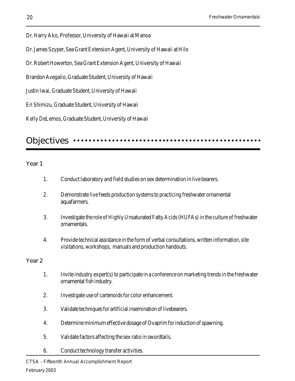Dr. Harry Ako, Professor, University of Hawaii at Manoa

Dr. James Szyper, Sea Grant Extension Agent, University of Hawaii at Hilo

Dr. Robert Howerton, Sea Grant Extension Agent, University of Hawaii

Brandon Avegalio, Graduate Student, University of Hawaii

Justin Iwai, Graduate Student, University of Hawaii

Eri Shimizu, Graduate Student, University of Hawaii

Kelly DeLemos, Graduate Student, University of Hawaii

#### Objectives •• aaaaaaaaaaaaaaaaaaaaaaaa aaaaaaaaaaaaaaaaaaaaaaaaa

#### Year 1

- 1. Conduct laboratory and field studies on sex determination in live bearers.
- 2. Demonstrate live feeds production systems to practicing freshwater ornamental aquafarmers.
- 3. Investigate the role of Highly Unsaturated Fatty Acids (HUFAs) in the culture of freshwater ornamentals.
- 4. Provide technical assistance in the form of verbal consultations, written information, site visitations, workshops, manuals and production handouts.

#### Year 2

- 1. Invite industry expert(s) to participate in a conference on marketing trends in the freshwater ornamental fish industry.
- 2. Investigate use of cartenoids for color enhancement.
- 3. Validate techniques for artificial insemination of livebearers.
- 4. Determine minimum effective dosage of Ovaprim for induction of spawning.
- 5. Validate factors affecting the sex ratio in swordtails.
- 6. Conduct technology transfer activities.

CTSA - Fifteenth Annual Accomplishment Report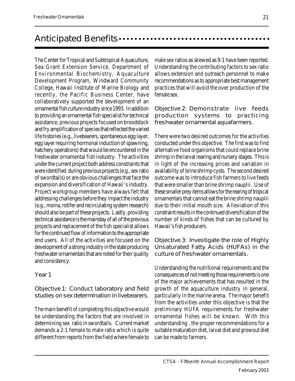## Anticipated Benefits aaaaaaaaa aaaaaaaaaaaaaaaaaaaaaaaaaaaaaa

The Center for Tropical and Subtropical Aquaculture, Sea Grant Extension Service, Department of Environmental Biochemistry, Aquaculture Development Program, Windward Community College, Hawaii Institute of Marine Biology and recently, the Pacific Business Center, have collaboratively supported the development of an ornamental fish culture industry since 1993. In addition to providing an ornamental fish specialist for technical assistance, previous projects focused on broodstock and fry amplification of species that reflected the varied life histories (e.g., livebearers, spontaneous egg layer, egg layer requiring hormonal induction of spawning, hatchery operations) that would be encountered in the freshwater ornamental fish industry. The activities under the current project both address constraints that were identified during previous projects (e.g., sex ratio of swordtails) or are obvious challenges that face the expansion and diversification of Hawaii's industry. Project workgroup members have always felt that addressing challenges before they impact the industry (e.g., moina, rotifer and recirculating system research) should also be part of these projects. Lastly, providing technical assistance is the mainstay of all of the previous projects and replacement of the fish specialist allows for the continued flow of information to the appropriate end users. All of the activities are focused on the development of a strong industry in the state producing freshwater ornamentals that are noted for their quality and consistency.

#### Year 1

Objective 1: Conduct laboratory and field studies on sex determination in livebearers.

The main benefit of completing this objective would be understanding the factors that are involved in determining sex ratio in swordtails. Current market demands a 2:1 female to male ratio which is quite different from reports from the field where female to

male sex ratios as skewed as 9:1 have been reported. Understanding the contributing factors to sex ratio allows extension and outreach personnel to make recommendations as to appropriate best management practices that will avoid the over production of the female sex.

Objective 2: Demonstrate live feeds production systems to practicing freshwater ornamental aquafarmers.

There were two desired outcomes for the activities conducted under this objective. The first was to find alternative food organisms that could replace brine shrimp in the larval rearing and nursery stages. This is in light of the increasing prices and variation in availability of brine shrimp cysts. The second desired outcome was to introduce fish farmers to live feeds that were smaller than brine shrimp nauplii. Use of these smaller prey items allows for the rearing of tropical ornamentals that cannot eat the brine shrimp nauplii due to their initial mouth size. Alleviation of this constraint results in the continued diversification of the number of kinds of fishes that can be cultured by Hawaii's fish producers.

Objective 3: Investigate the role of Highly Unsaturated Fatty Acids (HUFAs) in the culture of freshwater ornamentals.

Understanding the nutritional requirements and the consequences of not meeting those requirements is one of the major achievements that has resulted in the growth of the aquaculture industry in general, particularly in the marine arena. The major benefit from the activities under this objective is that the preliminary HUFA requirements for freshwater ornamental fishes will be known. With this understanding , the proper recommendations for a suitable maturation diet, larval diet and growout diet can be made to farmers.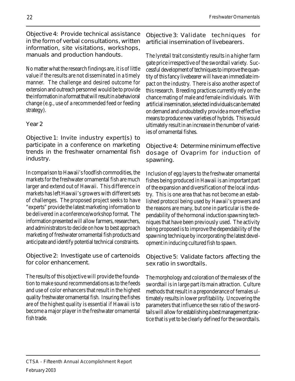Objective 4: Provide technical assistance in the form of verbal consultations, written information, site visitations, workshops, manuals and production handouts.

No matter what the research findings are, it is of little value if the results are not disseminated in a timely manner. The challenge and desired outcome for extension and outreach personnel would be to provide the information in a format that will result in a behavioral change (e.g., use of a recommended feed or feeding strategy).

### Year 2

Objective 1: Invite industry expert(s) to participate in a conference on marketing trends in the freshwater ornamental fish industry.

In comparison to Hawaii's foodfish commodities, the markets for the freshwater ornamental fish are much larger and extend out of Hawaii. This difference in markets has left Hawaii's growers with different sets of challenges. The proposed project seeks to have "experts" provide the latest marketing information to be delivered in a conference/workshop format. The information presented will allow farmers, researchers, and administrators to decide on how to best approach marketing of freshwater ornamental fish products and anticipate and identify potential technical constraints.

Objective 2: Investigate use of cartenoids for color enhancement.

The results of this objective will provide the foundation to make sound recommendations as to the feeds and use of color enhancers that result in the highest quality freshwater ornamental fish. Insuring the fishes are of the highest quality is essential if Hawaii is to become a major player in the freshwater ornamental fish trade.

Objective 3: Validate techniques for artificial insemination of livebearers.

The lyretail trait consistently results in a higher farm gate price irrespective of the swordtail variety. Successful development of techniques to improve the quantity of this fancy livebearer will have an immediate impact on the industry. There is also another aspect of this research. Breeding practices currently rely on the chance mating of male and female individuals. With artificial insemination, selected individuals can be mated on demand and undoubtedly provide a more effective means to produce new varieties of hybrids. This would ultimately result in an increase in the number of varieties of ornamental fishes.

Objective 4: Determine minimum effective dosage of Ovaprim for induction of spawning.

Inclusion of egg layers to the freshwater ornamental fishes being produced in Hawaii is an important part of the expansion and diversification of the local industry. This is one area that has not become an established protocol being used by Hawaii's growers and the reasons are many, but one in particular is the dependability of the hormonal induction spawning techniques that have been previously used. The activity being proposed is to improve the dependability of the spawning technique by incorporating the latest development in inducing cultured fish to spawn.

Objective 5: Validate factors affecting the sex ratio in swordtails.

The morphology and coloration of the male sex of the swordtail is in large part its main attraction. Culture methods that result in a preponderance of females ultimately results in lower profitability. Uncovering the parameters that influence the sex ratio of the swordtails will allow for establishing a best management practice that is yet to be clearly defined for the swordtails.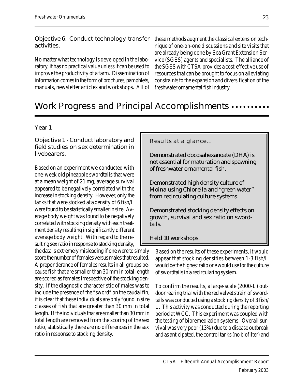Objective 6: Conduct technology transfer activities.

No matter what technology is developed in the laboratory, it has no practical value unless it can be used to improve the productivity of a farm. Dissemination of information comes in the form of brochures, pamphlets, manuals, newsletter articles and workshops. All of these methods augment the classical extension technique of one-on-one discussions and site visits that are already being done by Sea Grant Extension Service (SGES) agents and specialists. The alliance of the SGES with CTSA provides a cost-effective use of resources that can be brought to focus on alleviating constraints to the expansion and diversification of the freshwater ornamental fish industry.

## Work Progress and Principal Accomplishments  $\cdots$

#### Year 1

Objective 1 - Conduct laboratory and field studies on sex determination in livebearers.

Based on an experiment we conducted with one-week old pineapple swordtails that were at a mean weight of 21 mg, average survival appeared to be negatively correlated with the increase in stocking density. However, only the tanks that were stocked at a density of 6 fish/L were found to be statistically smaller in size. Average body weight was found to be negatively correlated with stocking density with each treatment density resulting in significantly different average body weight. With regard to the resulting sex ratio in response to stocking density,

the data is extremely misleading if one were to simply score the number of females versus males that resulted. A preponderance of females results in all groups because fish that are smaller than 30 mm in total length are scored as females irrespective of the stocking density. If the diagnostic characteristic of males was to include the presence of the "sword" on the caudal fin, it is clear that these individuals are only found in size classes of fish that are greater than 30 mm in total length. If the individuals that are smaller than 30 mm in total length are removed from the scoring of the sex ratio, statistically there are no differences in the sex ratio in response to stocking density.

Results at a glance...

Demonstrated docosahexanoate (DHA) is not essential for maturation and spawning of freshwater ornamental fish.

Demonstrated high density culture of Moina using Chlorella and "green water" from recirculating culture systems.

Demonstrated stocking density effects on growth, survival and sex ratio on swordtails.

Held 10 workshops.

Based on the results of these experiments, it would appear that stocking densities between 1-3 fish/L would be the highest ratio one would use for the culture of swordtails in a recirculating system.

To confirm the results, a large-scale (2000-L) outdoor rearing trial with the red velvet strain of swordtails was conducted using a stocking density of 3 fish/ L. This activity was conducted during the reporting period at WCC. This experiment was coupled with the testing of bioremediation systems. Overall survival was very poor (13%) due to a disease outbreak and as anticipated, the control tanks (no biofilter) and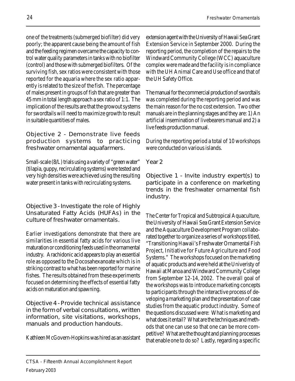one of the treatments (submerged biofilter) did very poorly; the apparent cause being the amount of fish and the feeding regimen overcame the capacity to control water quality parameters in tanks with no biofilter (control) and those with submerged biofilters. Of the surviving fish, sex ratios were consistent with those reported for the aquaria where the sex ratio apparently is related to the size of the fish. The percentage of males present in groups of fish that are greater than 45 mm in total length approach a sex ratio of 1:1. The implication of the results are that the growout systems for swordtails will need to maximize growth to result in suitable quantities of males.

Objective 2 - Demonstrate live feeds production systems to practicing freshwater ornamental aquafarmers.

Small-scale (8/L) trials using a variety of "green water" (tilapia, guppy, recirculating systems) were tested and very high densities were achieved using the resulting water present in tanks with recirculating systems.

Objective 3 - Investigate the role of Highly Unsaturated Fatty Acids (HUFAs) in the culture of freshwater ornamentals.

Earlier investigations demonstrate that there are similarities in essential fatty acids for various live maturation or conditioning feeds used in the ornamental industry. Arachidonic acid appears to play an essential role as opposed to the Docosahexanoate which is in striking contrast to what has been reported for marine fishes. The results obtained from these experiments focused on determining the effects of essential fatty acids on maturation and spawning.

Objective 4 - Provide technical assistance in the form of verbal consultations, written information, site visitations, workshops, manuals and production handouts.

Kathleen McGovern-Hopkins was hired as an assistant

extension agent with the University of Hawaii Sea Grant Extension Service in September 2000. During the reporting period, the completion of the repairs to the Windward Community College (WCC) aquaculture complex were made and the facility is in compliance with the UH Animal Care and Use office and that of the UH Safety Office.

The manual for the commercial production of swordtails was completed during the reporting period and was the main reason for the no cost extension. Two other manuals are in the planning stages and they are: 1) An artificial insemination of livebearers manual and 2) a live feeds production manual.

During the reporting period a total of 10 workshops were conducted on various islands.

Year 2

Objective 1 - Invite industry expert(s) to participate in a conference on marketing trends in the freshwater ornamental fish industry.

The Center for Tropical and Subtropical Aquaculture, the University of Hawaii Sea Grant Extension Service and the Aquaculture Development Program collaborated together to organize a series of workshops titled, "Transitioning Hawaii's Freshwater Ornamental Fish Project, Initiative for Future Agriculture and Food Systems." The workshops focused on the marketing of aquatic products and were held at the Univeristy of Hawaii at Manoa and Windward Community College from September 12-14, 2002. The overall goal of the workshops was to introduce marketing concepts to participants through the interactive process of developing a marketing plan and the presentation of case studies from the aquatic product industry. Some of the questions discussed were: What is marketing and what does it entail? What are the techniques and methods that one can use so that one can be more competitive? What are the thought and planning processes that enable one to do so? Lastly, regarding a specific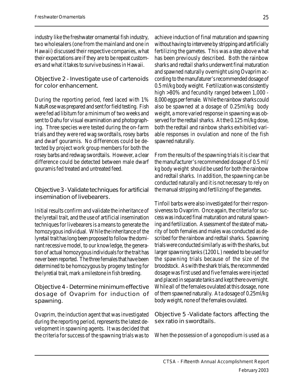industry like the freshwater ornamental fish industry, two wholesalers (one from the mainland and one in Hawaii) discussed their respective companies, what their expectations are if they are to be repeat customers and what it takes to survive business in Hawaii.

Objective 2 - Investigate use of cartenoids for color enhancement.

During the reporting period, feed laced with 1% NatuRose was prepared and sent for field testing. Fish were fed ad libitum for a minimum of two weeks and sent to Oahu for visual examination and photographing. Three species were tested during the on-farm trials and they were red wag swordtails, rosey barbs and dwarf gouramis. No differences could be detected by project work group members for both the rosey barbs and redwag swordtails. However, a clear difference could be detected between male dwarf gouramis fed treated and untreated feed.

Objective 3 - Validate techniques for artificial insemination of livebearers.

Initial results confirm and validate the inheritance of the lyretail trait, and the use of artificial insemination techniques for livebearers is a means to generate the homozygous individual. While the inheritance of the lyretail trait has long been proposed to follow the dominant recessive model, to our knowledge, the generation of actual homozygous individuals for the trait has never been reported. The three females that have been determined to be homozygous by progeny testing for the lyretial trait, mark a milestone in fish breeding.

Objective 4 - Determine minimum effective dosage of Ovaprim for induction of spawning.

Ovaprim, the induction agent that was investigated during the reporting period, represents the latest development in spawning agents. It was decided that the criteria for success of the spawning trials was to

achieve induction of final maturation and spawning without having to intervene by stripping and artificially fertilizing the gametes. This was a step above what has been previously described. Both the rainbow sharks and redtail sharks underwent final maturation and spawned naturally overnight using Ovaprim according to the manufaturer's recommended dosage of 0.5 ml/kg body weight. Fertilization was consistently high >80% and fecundity ranged between 1,000 - 8,000 eggs per female. While the rainbow sharks could also be spawned at a dosage of 0.25ml/kg body weight, a more varied response in spawning was observed for the redtail sharks. At the 0.125 ml/kg dose, both the redtail and rainbow sharks exhibitied variable responses in ovulation and none of the fish spawned naturally.

From the results of the spawning trials it is clear that the manufacturer's recommended dosage of 0.5 ml/ kg body weight should be used for both the rainbow and redtail sharks. In addition, the spawning can be conducted naturally and it is not necessary to rely on the manual stripping and fertilizing of the gametes.

Tinfoil barbs were also investigated for their responsiveness to Ovaprim. Once again, the criteria for success was induced final maturation and natural spawning and fertilization. Assessment of the state of maturity of both females and males was conducted as described for the rainbow and redtail sharks. Spawning trials were conducted similarly as with the sharks, but larger spawning tanks (1200 L) needed to be used for the spawning trials because of the size of the broodstock. As with the shark trials, the recommended dosage was first used and five females were injected and placed in separate tanks and kept there overnight. While all of the females ovulated at this dosage, none of them spawned naturally. At a dosage of 0.25ml/kg body weight, none of the females ovulated.

Objective 5 -Validate factors affecting the sex ratio in swordtails.

When the possession of a gonopodium is used as a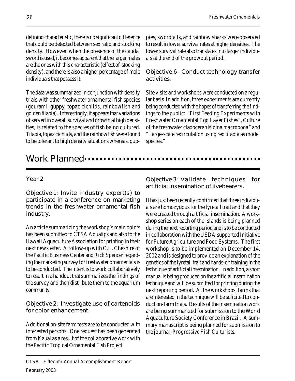defining characteristic, there is no significant difference that could be detected between sex ratio and stocking density. However, when the presence of the caudal sword is used, it becomes apparent that the larger males are the ones with this characteristic (effect of stocking density), and there is also a higher percentage of male individuals that possess it.

The data was summarized in conjunction with density trials with other freshwater ornamental fish species (gourami, guppy, topaz cichlids, rainbowfish and golden tilapia). Interestingly, it appears that variations observed in overall survival and growth at high densities, is related to the species of fish being cultured. Tilapia, topaz cichlids, and the rainbowfish were found to be tolerant to high density situations whereas, gup-

pies, swordtails, and rainbow sharks were observed to result in lower survival rates at higher densities. The lower survival rate also translates into larger individuals at the end of the growout period.

Objective 6 - Conduct technology transfer activities.

Site visits and workshops were conducted on a regular basis In addition, three experiments are currently being conducted with the hopes of transferring the findings to the public: "First Feeding Experiments with Freshwater Ornamental Egg Layer Fishes", Culture of the freshwater cladoceran Moina macropoda" and "Large-scale recirculation using red tilapia as model species."

## Work Planned •••

#### Year 2

Objective 1: Invite industry expert(s) to participate in a conference on marketing trends in the freshwater ornamental fish industry.

An article summarizing the workshop's main points has been submitted to CTSA Aquatips and also to the Hawaii Aquaculture Association for printing in their next newsletter. A follow-up with C.L. Cheshire of the Pacific Business Center and Rick Spencer regarding the marketing survey for freshwater ornamentals is to be conducted. The intent is to work collaboratively to result in a handout that summarizes the findings of the survey and then distribute them to the aquarium community.

Objective 2: Investigate use of cartenoids for color enhancement.

Additional on-site farm tests are to be conducted with interested persons. One request has been generated from Kauai as a result of the collaborative work with the Pacific Tropical Ornamental Fish Project.

Objective 3: Validate techniques for artificial insemination of livebearers.

It has just been recently confirmed that three individuals are homozygous for the lyretail trait and that they were created through artificial insemination. A workshop series on each of the islands is being planned during the next reporting period and is to be conducted in collaboration with the USDA supported Initiative for Future Agriculture and Food Systems. The first workshop is to be implemented on December 14, 2002 and is designed to provide an explanation of the genetics of the lyretail trait and hands-on training in the technique of artificial insemination. In addition, a short manual is being produced on the artificial insemination technique and will be submitted for printing during the next reporting period. At the workshops, farms that are interested in the technique will be solicited to conduct on-farm trials. Results of the insemination work are being summarized for submission to the World Aquaculture Society Conference in Brazil. A summary manuscript is being planned for submission to the journal, Progressive Fish Culturists.

CTSA - Fifteenth Annual Accomplishment Report February 2003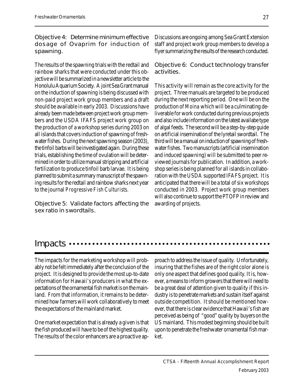Objective 4: Determine minimum effective dosage of Ovaprim for induction of spawning.

The results of the spawning trials with the redtail and rainbow sharks that were conducted under this objective will be summarized in a newsletter article to the Honolulu Aquarium Society. A joint Sea Grant manual on the induction of spawning is being discussed with non-paid project work group members and a draft should be available in early 2003. Discussions have already been made between project work group members and the USDA IFAFS project work group on the production of a workshop series during 2003 on all islands that covers induction of spawning of freshwater fishes. During the next spawning season (2003), the tinfoil barbs will be investigated again. During these trials, establishing the time of ovulation will be determined in order to utilize manual stripping and artificial fertilization to produce tinfoil barb larvae. It is being planned to submit a summary manuscript of the spawning results for the redtail and rainbow sharks next year to the journal Progressive Fish Culturists.

Objective 5: Validate factors affecting the sex ratio in swordtails.

Discussions are ongoing among Sea Grant Extension staff and project work group members to develop a flyer summarizing the results of the research conducted.

Objective 6: Conduct technology transfer activities.

This activity will remain as the core activity for the project. Three manuals are targeted to be produced during the next reporting period. One will be on the production of Moina which will be a culminating deliverable for work conducted during previous projects and also include information on the latest availabe type of algal feeds. The second will be a step-by-step guide on artificial insemination of the lyretail swordtail. The third will be a manual on induction of spawning of freshwater fishes. Two manuscripts (artificial insemination and induced spawning) will be submitted to peer reviewed journals for publication. In addition, a workshop series is being planned for all islands in collaboration with the USDA supported IFAFS project. It is anticipated that there will be a total of six workshops conducted in 2003. Project work group members will also continue to support the PTOFP in review and awarding of projects.

### Impacts …………………………………………

The impacts for the marketing workshop will probably not be felt immediately after the conclusion of the project. It is designed to provide the most up-to-date information for Hawaii's producers in what the expectations of the ornamental fish market is on the mainland. From that information, it remains to be determined how farmers will work collaboratively to meet the expectations of the mainland market.

One market expectation that is already a given is that the fish produced will have to be of the highest quality. The results of the color enhancers are a proactive ap-

proach to address the issue of quality. Unfortunately, insuring that the fishes are of the right color alone is only one aspect that defines good quality. It is, however, a means to inform growers that there will need to be a great deal of attention given to quality if this industry is to penetrate markets and sustain itself against outside competition. It should be mentioned however, that there is clear evidence that Hawaii's fish are perceived as being of "good" quality by buyers on the US mainland. This modest beginning should be built upon to penetrate the freshwater ornamental fish market.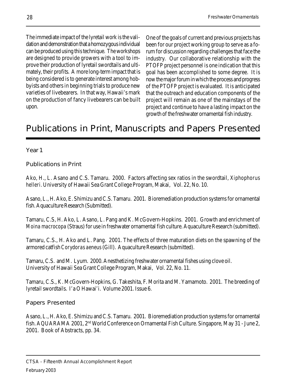The immediate impact of the lyretail work is the validation and demonstration that a homozygous individual can be produced using this technique. The workshops are designed to provide growers with a tool to improve their production of lyretail swordtails and ultimately, their profits. A more long-term impact that is being considered is to generate interest among hobbyists and others in beginning trials to produce new varieties of livebearers. In that way, Hawaii's mark on the production of fancy livebearers can be built upon.

One of the goals of current and previous projects has been for our project working group to serve as a forum for discussion regarding challenges that face the industry. Our collaborative relationship with the PTOFP project personnel is one indication that this goal has been accomplished to some degree. It is now the major forum in which the process and progress of the PTOFP project is evaluated. It is anticipated that the outreach and education components of the project will remain as one of the mainstays of the project and continue to have a lasting impact on the growth of the freshwater ornamental fish industry.

## Publications in Print, Manuscripts and Papers Presented

Year 1

### Publications in Print

Ako, H., L. Asano and C.S. Tamaru. 2000. Factors affecting sex ratios in the swordtail, Xiphophorus helleri. University of Hawaii Sea Grant College Program, Makai, Vol. 22, No. 10.

Asano, L., H. Ako, E. Shimizu and C.S. Tamaru. 2001. Bioremediation production systems for ornamental fish. Aquaculture Research (Submitted).

Tamaru, C.S, H. Ako, L. Asano, L. Pang and K. McGovern-Hopkins. 2001. Growth and enrichment of Moina macrocopa (Straus) for use in freshwater ornamental fish culture. Aquaculture Research (submitted).

Tamaru, C.S., H. Ako and L. Pang. 2001. The effects of three maturation diets on the spawning of the armored catfish Corydoras aeneus (Gill). Aquaculture Research (submitted).

Tamaru, C.S. and M. Lyum. 2000. Anesthetizing freshwater ornamental fishes using clove oil. University of Hawaii Sea Grant College Program, Makai, Vol. 22, No. 11.

Tamaru, C.S., K. McGovern-Hopkins, G. Takeshita, F. Morita and M. Yamamoto. 2001. The breeding of lyretail swordtails. I'a O Hawai'i. Volume 2001. Issue 6.

Papers Presented

Asano, L., H. Ako, E. Shimizu and C.S. Tamaru. 2001. Bioremediation production systems for ornamental fish. AQUARAMA 2001, 2nd World Conference on Ornamental Fish Culture. Singapore, May 31 - June 2, 2001. Book of Abstracts, pp. 34.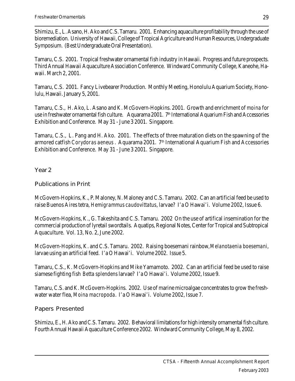Shimizu, E., L. Asano, H. Ako and C.S. Tamaru. 2001. Enhancing aquaculture profitability through the use of bioremediation. University of Hawaii, College of Tropical Agriculture and Human Resources, Undergraduate Symposium. (Best Undergraduate Oral Presentation).

Tamaru, C.S. 2001. Tropical freshwater ornamental fish industry in Hawaii. Progress and future prospects. Third Annual Hawaii Aquaculture Association Conference. Windward Community College, Kaneohe, Hawaii. March 2, 2001.

Tamaru, C.S. 2001. Fancy Livebearer Production. Monthly Meeting, Honolulu Aquarium Society, Honolulu, Hawaii. January 5, 2001.

Tamaru, C.S., H. Ako, L. Asano and K. McGovern-Hopkins. 2001. Growth and enrichment of moina for use in freshwater ornamental fish culture. Aquarama 2001. 7<sup>th</sup> International Aquarium Fish and Accessories Exhibition and Conference. May 31 - June 3 2001. Singapore.

Tamaru, C.S., L. Pang and H. Ako. 2001. The effects of three maturation diets on the spawning of the armored catfish Corydoras aeneus. Aquarama 2001. 7<sup>th</sup> International Aquarium Fish and Accessories Exhibition and Conference. May 31 - June 3 2001. Singapore.

Year 2

### Publications in Print

McGovern-Hopkins, K., P. Maloney, N. Maloney and C.S. Tamaru. 2002. Can an artificial feed be used to raise Buenos Aires tetra, Hemigrammus caudovittatus, larvae? I'a O Hawai'i. Volume 2002, Issue 6.

McGovern-Hopkins, K., G. Takeshita and C.S. Tamaru. 2002 On the use of artifical insemination for the commercial production of lyretail swordtails. Aquatips, Regional Notes, Center for Tropical and Subtropical Aquaculture. Vol. 13, No. 2, June 2002.

McGovern-Hopkins, K. and C.S. Tamaru. 2002. Raising boesemani rainbow, Melanotaenia boesemani, larvae using an artificial feed. I'a O Hawai'i. Volume 2002. Issue 5.

Tamaru, C.S., K. McGovern-Hopkins and Mike Yamamoto. 2002. Can an artificial feed be used to raise siamese fighting fish Betta splendens larvae? I'a O Hawai'i. Volume 2002, Issue 9.

Tamaru, C.S. and K. McGovern-Hopkins. 2002. Use of marine microalgae concentrates to grow the freshwater water flea, Moina macropoda. I'a O Hawai'i. Volume 2002, Issue 7.

### Papers Presented

Shimizu, E., H. Ako and C.S. Tamaru. 2002. Behavioral limitations for high intensity ornamental fish culture. Fourth Annual Hawaii Aquaculture Conference 2002. Windward Community College, May 8, 2002.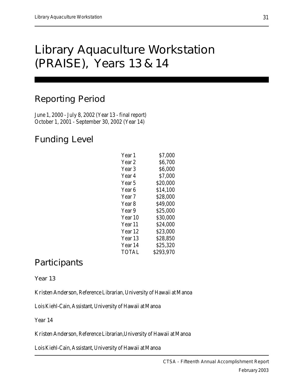## Library Aquaculture Workstation (PRAISE), Years 13 & 14

## Reporting Period

June 1, 2000 - July 8, 2002 (Year 13 - final report) October 1, 2001 - September 30, 2002 (Year 14)

## Funding Level

| Year 1             | \$7,000   |
|--------------------|-----------|
| Year 2             | \$6,700   |
| Year 3             | \$6,000   |
| Year 4             | \$7,000   |
| Year 5             | \$20,000  |
| Year 6             | \$14,100  |
| Year <sub>7</sub>  | \$28,000  |
| Year 8             | \$49,000  |
| Year 9             | \$25,000  |
| Year 10            | \$30,000  |
| Year 11            | \$24,000  |
| Year <sub>12</sub> | \$23,000  |
| Year 13            | \$28,850  |
| Year 14            | \$25,320  |
| TOTAL              | \$293,970 |
|                    |           |

## **Participants**

Year 13

Kristen Anderson, Reference Librarian, University of Hawaii at Manoa

Lois Kiehl-Cain, Assistant, University of Hawaii at Manoa

Year 14

Kristen Anderson, Reference Librarian,University of Hawaii at Manoa

Lois Kiehl-Cain, Assistant, University of Hawaii at Manoa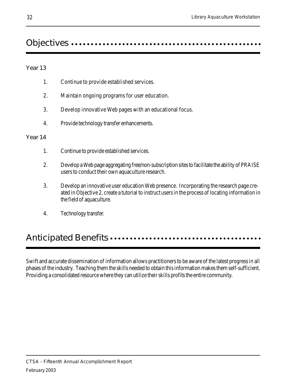## Objectives aaaaaaaaaaaaa aaaaaaaaaaaaaaaaaaaaaaaaaaaaaaaaaaaa

#### Year 13

- 1. Continue to provide established services.
- 2. Maintain ongoing programs for user education.
- 3. Develop innovative Web pages with an educational focus.
- 4. Provide technology transfer enhancements.

#### Year 14

- 1. Continue to provide established services.
- 2. Develop a Web page aggregating free/non-subscription sites to facilitate the ability of PRAISE users to conduct their own aquaculture research.
- 3. Develop an innovative user education Web presence. Incorporating the research page created in Objective 2, create a tutorial to instruct users in the process of locating information in the field of aquaculture.
- 4. Technology transfer.

## Anticipated Benefits aaaaaaaa aaaaaaaaaaaaaaaaaaaaaaaaaaaaaaa

Swift and accurate dissemination of information allows practitioners to be aware of the latest progress in all phases of the industry. Teaching them the skills needed to obtain this information makes them self-sufficient. Providing a consolidated resource where they can utilize their skills profits the entire community.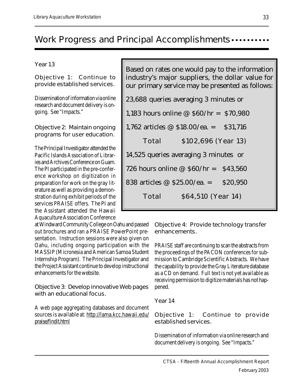## Work Progress and Principal Accomplishments ....

Year 13

Objective 1: Continue to provide established services.

Dissemination of information via online research and document delivery is ongoing. See "Impacts."

Objective 2: Maintain ongoing programs for user education.

The Principal Investigator attended the Pacific Islands Association of Libraries and Archives Conference on Guam. The PI participated in the pre-conference workshop on digitization in preparation for work on the gray literature as well as providing a demonstration during exhibit periods of the services PRAISE offers. The PI and the Assistant attended the Hawaii Aquaculture Association Conference

at Windward Community College on Oahu and passed out brochures and ran a PRAISE PowerPoint presentation. Instruction sessions were also given on Oahu, including ongoing participation with the MASSIP (Micronesia and American Samoa Student Internship Program). The Principal Investigator and the Project Assistant continue to develop instructional enhancements for the website.

Objective 3: Develop innovative Web pages with an educational focus.

A web page aggregating databases and document sources is available at: http://lama.kcc.hawaii.edu/ praise/findit.html

| Based on rates one would pay to the information  |
|--------------------------------------------------|
| industry's major suppliers, the dollar value for |
| our primary service may be presented as follows: |

| 23,688 queries averaging 3 minutes or          |
|------------------------------------------------|
| 1,183 hours online @ $$60/hr = $70,980$        |
| 1,762 articles $\omega$ \$18.00/ea. = \$31,716 |
| \$102,696 (Year 13)<br>Total                   |
| 14,525 queries averaging 3 minutes or          |
| 726 hours online $\omega$ \$60/hr = \$43,560   |
| 838 articles @ $$25.00/ea. =$<br>\$20,950      |
| \$64,510 (Year 14)<br>Total                    |
|                                                |

Objective 4: Provide technology transfer enhancements.

PRAISE staff are continuing to scan the abstracts from the proceedings of the PACON conferences for submission to Cambridge Scientific Abstracts. We have the capability to provide the Gray Literature database as a CD on demand. Full text is not yet available as receiving permission to digitize materials has not happened.

#### Year 14

Objective 1: Continue to provide established services.

Dissemination of information via online research and document delivery is ongoing. See "Impacts."

33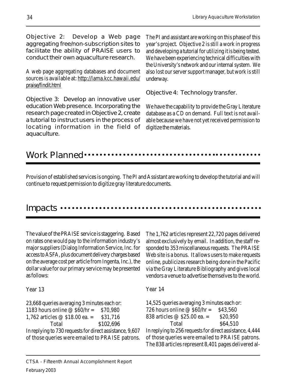Objective 2: Develop a Web page aggregating free/non-subscription sites to facilitate the ability of PRAISE users to conduct their own aquaculture research.

A web page aggregating databases and document sources is available at: http://lama.kcc.hawaii.edu/ praise/findit.html

Objective 3: Develop an innovative user education Web presence. Incorporating the research page created in Objective 2, create a tutorial to instruct users in the process of locating information in the field of aquaculture.

The PI and assistant are working on this phase of this year's project. Objective 2 is still a work in progress and developing a tutorial for utilizing it is being tested. We have been experiencing technical difficulties with the University's network and our internal system. We also lost our server support manager, but work is still underway.

Objective 4: Technology transfer.

We have the capability to provide the Gray Literature database as a CD on demand. Full text is not available because we have not yet received permission to digitize the materials.

### Work Planned ••••

Provision of established services is ongoing. The PI and Assistant are working to develop the tutorial and will continue to request permission to digitize gray literature documents.

### $Impacks \cdots$

The value of the PRAISE service is staggering. Based on rates one would pay to the information industry's major suppliers (Dialog Information Service, Inc. for access to ASFA, plus document delivery charges based on the average cost per article from Ingenta, Inc.), the dollar value for our primary service may be presented as follows:

The 1,762 articles represent 22,720 pages delivered almost exclusively by email. In addition, the staff responded to 353 miscellaneous requests. The PRAISE Web site is a bonus. It allows users to make requests online, publicizes research being done in the Pacific via the Gray Literature Bibliography and gives local vendors a venue to advertise themselves to the world.

Year 13

23,668 queries averaging 3 minutes each or: 1183 hours online @ \$60/hr = \$70,980 1,762 articles  $\omega$  \$18.00 ea. = \$31,716 Total \$102,696 In replying to 730 requests for direct assistance, 9,607 of those queries were emailed to PRAISE patrons. Year 14

14,525 queries averaging 3 minutes each or: 726 hours online  $@$60/hr = $43,560$ 838 articles  $\omega$  \$25.00 ea. = \$20,950 Total \$64,510 In replying to 256 requests for direct assistance, 4,444 of those queries were emailed to PRAISE patrons. The 838 articles represent 8,401 pages delivered al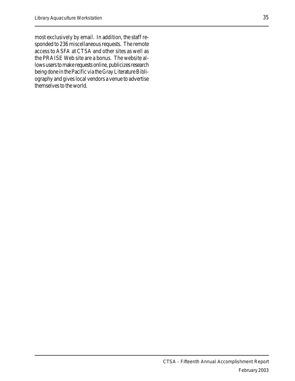most exclusively by email. In addition, the staff responded to 236 miscellaneous requests. The remote access to ASFA at CTSA and other sites as well as the PRAISE Web site are a bonus. The website allows users to make requests online, publicizes research being done in the Pacific via the Gray Literature Bibliography and gives local vendors a venue to advertise themselves to the world.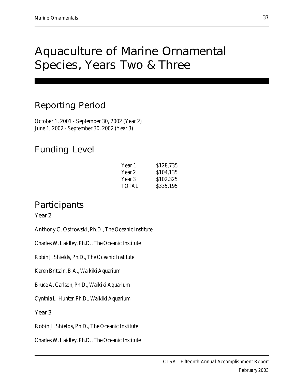## Aquaculture of Marine Ornamental Species, Years Two & Three

## Reporting Period

October 1, 2001 - September 30, 2002 (Year 2) June 1, 2002 - September 30, 2002 (Year 3)

## Funding Level

| Year 1       | \$128,735 |
|--------------|-----------|
| Year 2       | \$104,135 |
| Year 3       | \$102,325 |
| <b>TOTAL</b> | \$335,195 |

## **Participants**

Year 2

Anthony C. Ostrowski, Ph.D., The Oceanic Institute

Charles W. Laidley, Ph.D., The Oceanic Institute

Robin J. Shields, Ph.D., The Oceanic Institute

Karen Brittain, B.A., Waikiki Aquarium

Bruce A. Carlson, Ph.D., Waikiki Aquarium

Cynthia L. Hunter, Ph.D., Waikiki Aquarium

Year 3

Robin J. Shields, Ph.D., The Oceanic Institute

Charles W. Laidley, Ph.D., The Oceanic Institute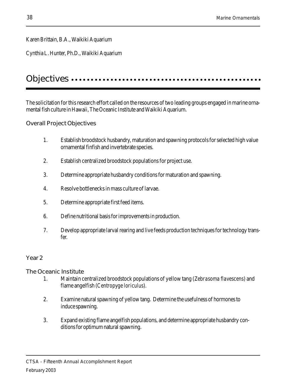### Karen Brittain, B.A., Waikiki Aquarium

Cynthia L. Hunter, Ph.D., Waikiki Aquarium

### Objectives ...................................

The solicitation for this research effort called on the resources of two leading groups engaged in marine ornamental fish culture in Hawaii, The Oceanic Institute and Waikiki Aquarium.

### Overall Project Objectives

- 1. Establish broodstock husbandry, maturation and spawning protocols for selected high value ornamental finfish and invertebrate species.
- 2. Establish centralized broodstock populations for project use.
- 3. Determine appropriate husbandry conditions for maturation and spawning.
- 4. Resolve bottlenecks in mass culture of larvae.
- 5. Determine appropriate first feed items.
- 6. Define nutritional basis for improvements in production.
- 7. Develop appropriate larval rearing and live feeds production techniques for technology transfer.

### Year 2

The Oceanic Institute

- 1. Maintain centralized broodstock populations of yellow tang (Zebrasoma flavescens) and flame angelfish (Centropyge loriculus).
- 2. Examine natural spawning of yellow tang. Determine the usefulness of hormones to induce spawning.
- 3. Expand existing flame angelfish populations, and determine appropriate husbandry conditions for optimum natural spawning.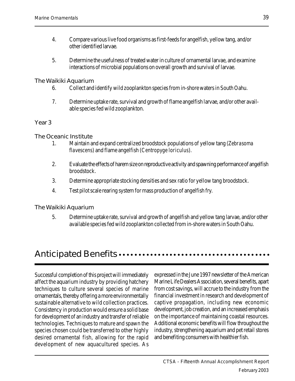- 4. Compare various live food organisms as first-feeds for angelfish, yellow tang, and/or other identified larvae.
- 5. Determine the usefulness of treated water in culture of ornamental larvae, and examine interactions of microbial populations on overall growth and survival of larvae.

The Waikiki Aquarium

- 6. Collect and identify wild zooplankton species from in-shore waters in South Oahu.
- 7. Determine uptake rate, survival and growth of flame angelfish larvae, and/or other available species fed wild zooplankton.

#### Year 3

The Oceanic Institute

- 1. Maintain and expand centralized broodstock populations of yellow tang (Zebrasoma flavescens) and flame angelfish (Centropyge loriculus).
- 2. Evaluate the effects of harem size on reproductive activity and spawning performance of angelfish broodstock.
- 3. Determine appropriate stocking densities and sex ratio for yellow tang broodstock.
- 4. Test pilot scale rearing system for mass production of angelfish fry.

The Waikiki Aquarium

5. Determine uptake rate, survival and growth of angelfish and yellow tang larvae, and/or other available species fed wild zooplankton collected from in-shore waters in South Oahu.

## Anticipated Benefits ............................

Successful completion of this project will immediately affect the aquarium industry by providing hatchery techniques to culture several species of marine ornamentals, thereby offering a more environmentally sustainable alternative to wild collection practices. Consistency in production would ensure a solid base for development of an industry and transfer of reliable technologies. Techniques to mature and spawn the species chosen could be transferred to other highly desired ornamental fish, allowing for the rapid development of new aquacultured species. As expressed in the June 1997 newsletter of the American Marine Life Dealers Association, several benefits, apart from cost savings, will accrue to the industry from the financial investment in research and development of captive propagation, including new economic development, job creation, and an increased emphasis on the importance of maintaining coastal resources. Additional economic benefits will flow throughout the industry, strengthening aquarium and pet retail stores and benefiting consumers with healthier fish.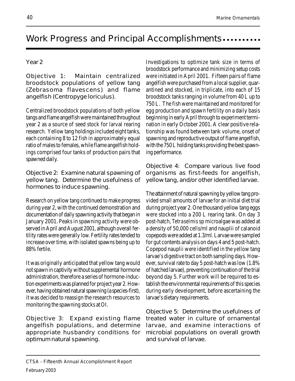## Work Progress and Principal Accomplishments......

### Year 2

Objective 1: Maintain centralized broodstock populations of yellow tang (Zebrasoma flavescens) and flame angelfish (Centropyge loriculus).

Centralized broodstock populations of both yellow tangs and flame angelfish were maintained throughout year 2 as a source of seed stock for larval rearing research. Yellow tang holdings included eight tanks, each containing 8 to 12 fish in approximately equal ratio of males to females, while flame angelfish holdings comprised four tanks of production pairs that spawned daily.

Objective 2: Examine natural spawning of yellow tang. Determine the usefulness of hormones to induce spawning.

Research on yellow tang continued to make progress during year 2, with the continued demonstration and documentation of daily spawning activity that began in January 2001. Peaks in spawning activity were observed in April and August 2001, although overall fertility rates were generally low. Fertility rates tended to increase over time, with isolated spawns being up to 88% fertile.

It was originally anticipated that yellow tang would not spawn in captivity without supplemental hormone administration, therefore a series of hormone-induction experiments was planned for project year 2. However, having obtained natural spawning (a species-first), it was decided to reassign the research resources to monitoring the spawning stocks at OI.

Objective 3: Expand existing flame angelfish populations, and determine appropriate husbandry conditions for optimum natural spawning.

Investigations to optimize tank size in terms of broodstock performance and minimizing setup costs were initiated in April 2001. Fifteen pairs of flame angelfish were purchased from a local supplier, quarantined and stocked, in triplicate, into each of 15 broodstock tanks ranging in volume from 40 L up to 750 L. The fish were maintained and monitored for egg production and spawn fertility on a daily basis beginning in early April through to experiment termination in early October 2001. A clear positive relationship was found between tank volume, onset of spawning and reproductive output of flame angelfish, with the 750 L holding tanks providing the best spawning performance.

Objective 4: Compare various live food organisms as first-feeds for angelfish, yellow tang, and/or other identified larvae.

The attainment of natural spawning by yellow tang provided small amounts of larvae for an initial diet trial during project year 2. One thousand yellow tang eggs were stocked into a 200 L rearing tank. On day 3 post-hatch, Tetraselmis sp microalgae was added at a density of 50,000 cells/ml and nauplii of calanoid copepods were added at 1.3/ml. Larvae were sampled for gut contents analysis on days 4 and 5 post-hatch. Copepod nauplii were identified in the yellow tang larvae's digestive tract on both sampling days. However, survival rate to day 5 post-hatch was low (1.8% of hatched larvae), preventing continuation of the trial beyond day 5. Further work will be required to establish the environmental requirements of this species during early development, before ascertaining the larvae's dietary requirements.

Objective 5: Determine the usefulness of treated water in culture of ornamental larvae, and examine interactions of microbial populations on overall growth and survival of larvae.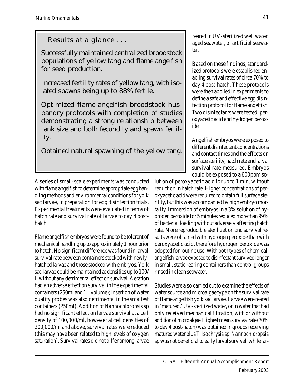Results at a glance . . .

Successfully maintained centralized broodstock populations of yellow tang and flame angelfish for seed production.

Increased fertility rates of yellow tang, with isolated spawns being up to 88% fertile.

Optimized flame angelfish broodstock husbandry protocols with completion of studies demonstrating a strong relationship between tank size and both fecundity and spawn fertility.

Obtained natural spawning of the yellow tang.

reared in UV-sterilized well water, aged seawater, or artificial seawater.

Based on these findings, standardized protocols were established enabling survival rates of circa 70% to day 4 post-hatch. These protocols were then applied in experiments to define a safe and effective egg disinfection protocol for flame angelfish. Two disinfectants were tested: peroxyacetic acid and hydrogen peroxide.

Angelfish embryos were exposed to different disinfectant concentrations and contact times and the effects on surface sterility, hatch rate and larval survival rate measured. Embryos could be exposed to a 600ppm so-

A series of small-scale experiments was conducted with flame angelfish to determine appropriate egg handling methods and environmental conditions for yolk sac larvae, in preparation for egg disinfection trials. Experimental treatments were evaluated in terms of hatch rate and survival rate of larvae to day 4 posthatch.

Flame angelfish embryos were found to be tolerant of mechanical handling up to approximately 1 hour prior to hatch. No significant difference was found in larval survival rate between containers stocked with newlyhatched larvae and those stocked with embryos. Yolk sac larvae could be maintained at densities up to 100/ L without any detrimental effect on survival. Aeration had an adverse effect on survival in the experimental containers (250ml and 1L volume); insertion of water quality probes was also detrimental in the smallest containers (250ml). Addition of Nannochloropsis sp had no significant effect on larvae survival at a cell density of 100,000/ml, however at cell densities of 200,000/ml and above, survival rates were reduced (this may have been related to high levels of oxygen saturation). Survival rates did not differ among larvae lution of peroxyacetic acid for up to 1 min, without reduction in hatch rate. Higher concentrations of peroxyacetic acid were required to obtain full surface sterility, but this was accompanied by high embryo mortality. Immersion of embryos in a 3% solution of hydrogen peroxide for 5 minutes reduced more than 99% of bacterial loading without adversely affecting hatch rate. More reproducible sterilization and survival results were obtained with hydrogen peroxide than with peroxyacetic acid, therefore hydrogen peroxide was adopted for routine use. With both types of chemical, angelfish larvae exposed to disinfectant survived longer in small, static rearing containers than control groups rinsed in clean seawater.

Studies were also carried out to examine the effects of water source and microalgae type on the survival rate of flame angelfish yolk sac larvae. Larvae were reared in 'matured,' UV-sterilized water, or in water that had only received mechanical filtration, with or without addition of microalgae. Highest mean survival rate (70% to day 4 post-hatch) was obtained in groups receiving matured water plus T. Isochrysis sp. Nannochloropsis sp was not beneficial to early larval survival, while lar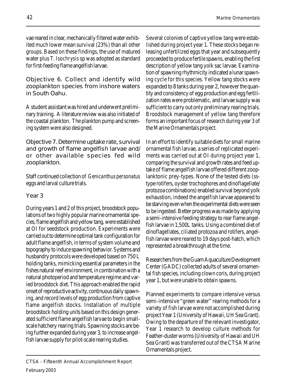vae reared in clear, mechanically filtered water exhibited much lower mean survival (23%) than all other groups. Based on these findings, the use of matured water plus T. Isochrysis sp was adopted as standard for first-feeding flame angelfish larvae.

Objective 6. Collect and identify wild zooplankton species from inshore waters in South Oahu.

A student assistant was hired and underwent preliminary training. A literature review was also initiated of the coastal plankton. The plankton pump and screening system were also designed.

Objective 7. Determine uptake rate, survival and growth of flame angelfish larvae and/ or other available species fed wild zooplankton.

Staff continued collection of Genicanthus personatus eggs and larval culture trials.

### Year 3

During years 1 and 2 of this project, broodstock populations of two highly popular marine ornamental species, flame angelfish and yellow tang, were established at OI for seedstock production. Experiments were carried out to determine optimal tank configuration for adult flame angelfish, in terms of system volume and topography to induce spawning behavior. Systems and husbandry protocols were developed based on 750 L holding tanks, mimicking essential parameters in the fishes natural reef environment, in combination with a natural photoperiod and temperature regime and varied broodstock diet. This approach enabled the rapid onset of reproductive activity, continuous daily spawning, and record levels of egg production from captive flame angelfish stocks. Installation of multiple broodstock holding units based on this design generated sufficient flame angelfish larvae to begin smallscale hatchery rearing trials. Spawning stocks are being further expanded during year 3, to increase angelfish larvae supply for pilot-scale rearing studies.

Several colonies of captive yellow tang were established during project year 1. These stocks began releasing unfertilized eggs that year and subsequently proceeded to produce fertile spawns, enabling the first description of yellow tang yolk sac larvae. Examination of spawning rhythmicity indicated a lunar spawning cycle for this species. Yellow tang stocks were expanded to 8 tanks during year 2, however the quantity and consistency of egg production and egg fertilization rates were problematic, and larvae supply was sufficient to carry out only preliminary rearing trials. Broodstock management of yellow tang therefore forms an important focus of research during year 3 of the Marine Ornamentals project.

In an effort to identify suitable diets for small marine ornamental fish larvae, a series of replicated experiments was carried out at OI during project year 1, comparing the survival and growth rates and feed uptake of flame angelfish larvae offered different zooplanktonic prey-types. None of the tested diets (sstype rotifers, oyster trochophores and dinoflagellate/ protozoa combinations) enabled survival beyond yolk exhaustion, indeed the angelfish larvae appeared to be starving even when the experimental diets were seen to be ingested. Better progress was made by applying a semi-intensive feeding strategy to rear flame angelfish larvae in 1,500L tanks. Using a combined diet of dinoflagellates, ciliated protozoa and rotifers, angelfish larvae were reared to 19 days post-hatch, which represented a breakthrough at the time.

Researchers from the Guam Aquaculture Development Center (GADC) collected adults of several ornamental fish species, including clown coris, during project year 1, but were unable to obtain spawns.

Planned experiments to compare intensive versus semi-intensive "green water" rearing methods for a variety of fish larvae were not accomplished during project Year 1 (University of Hawaii, UH Sea Grant). Owing to the departure of the relevant investigator, Year 1 research to develop culture methods for Feather-duster worms (University of Hawaii and UH Sea Grant) was transferred out of the CTSA Marine Ornamentals project.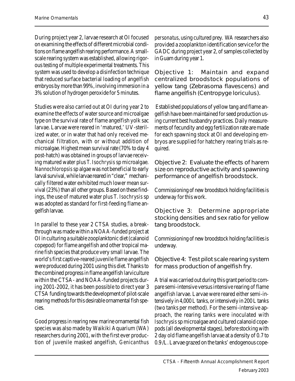During project year 2, larvae research at OI focused on examining the effects of different microbial conditions on flame angelfish rearing performance. A smallscale rearing system was established, allowing rigorous testing of multiple experimental treatments. This system was used to develop a disinfection technique that reduced surface bacterial loading of angelfish embryos by more than 99%, involving immersion in a 3% solution of hydrogen peroxide for 5 minutes.

Studies were also carried out at OI during year 2 to examine the effects of water source and microalgae type on the survival rate of flame angelfish yolk sac larvae. Larvae were reared in 'matured,' UV-sterilized water, or in water that had only received mechanical filtration, with or without addition of microalgae. Highest mean survival rate (70% to day 4 post-hatch) was obtained in groups of larvae receiving matured water plus T. Isochrysis sp microalgae. Nannochloropsis sp algae was not beneficial to early larval survival, while larvae reared in "clear," mechanically filtered water exhibited much lower mean survival (23%) than all other groups. Based on these findings, the use of matured water plus T. Isochrysis sp was adopted as standard for first-feeding flame angelfish larvae.

In parallel to these year 2 CTSA studies, a breakthrough was made within a NOAA-funded project at OI in culturing a suitable zooplanktonic diet (calanoid copepod) for flame angelfish and other tropical marine fish species that produce very small larvae. The world's first captive-reared juvenile flame angelfish were produced during 2001 using this diet. Thanks to the combined progress in flame angelfish larviculture within the CTSA- and NOAA-funded projects during 2001-2002, it has been possible to direct year 3 CTSA funding towards the development of pilot-scale rearing methods for this desirable ornamental fish species.

Good progress in rearing new marine ornamental fish species was also made by Waikiki Aquarium (WA) researchers during 2001, with the first ever production of juvenile masked angelfish, Genicanthus

personatus, using cultured prey. WA researchers also provided a zooplankton identification service for the GADC during project year 2, of samples collected by in Guam during year 1.

Objective 1: Maintain and expand centralized broodstock populations of yellow tang (Zebrasoma flavescens) and flame angelfish (Centropyge loriculus).

 Established populations of yellow tang and flame angelfish have been maintained for seed production using current best husbandry practices. Daily measurements of fecundity and egg fertilization rate are made for each spawning stock at OI and developing embryos are supplied for hatchery rearing trials as required.

Objective 2: Evaluate the effects of harem size on reproductive activity and spawning performance of angelfish broodstock.

Commissioning of new broodstock holding facilities is underway for this work.

Objective 3: Determine appropriate stocking densities and sex ratio for yellow tang broodstock.

Commissioning of new broodstock holding facilities is underway.

Objective 4: Test pilot scale rearing system for mass production of angelfish fry.

A trial was carried out during this grant period to compare semi-intensive versus intensive rearing of flame angelfish larvae. Larvae were reared either semi-intensively in 4,000 L tanks, or intensively in 200 L tanks (two tanks per method). For the semi-intensive approach, the rearing tanks were inoculated with Isochrysis sp microalgae and cultured calanoid copepods (all developmental stages), before stocking with 2 day old flame angelfish larvae at a density of 0.7 to 0.9 /L. Larvae grazed on the tanks' endogenous cope-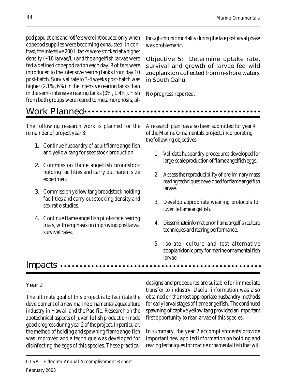pod populations and rotifers were introduced only when copepod supplies were becoming exhausted. In contrast, the intensive 200 L tanks were stocked at a higher density (~10 larvae/L) and the angelfish larvae were fed a defined copepod ration each day. Rotifers were introduced to the intensive rearing tanks from day 10 post-hatch. Survival rate to 3-4 weeks post-hatch was higher (2.1%, 6%) in the intensive rearing tanks than in the semi-intensive rearing tanks (0%, 1.4%). Fish from both groups were reared to metamorphosis, al-

though chronic mortality during the late postlarval phase was problematic.

Objective 5: Determine uptake rate, survival and growth of larvae fed wild zooplankton collected from in-shore waters in South Oahu.

No progress reported.

### Work Planned aaaaaaaaaaaaaaaaaaaaaaaaaaaaaaaaaa aaaaaaaaaaaa

The following research work is planned for the remainder of project year 3:

- 1. Continue husbandry of adult flame angelfish and yellow tang for seedstock production.
- 2. Commission flame angelfish broodstock holding facilities and carry out harem size experiment
- 3. Commission yellow tang broodstock holding facilities and carry out stocking density and sex ratio studies.
- 4. Continue flame angelfish pilot-scale rearing trials, with emphasis on improving postlarval survival rates.

A research plan has also been submitted for year 4 of the Marine Ornamentals project, incorporating the following objectives:

- 1. Validate husbandry procedures developed for large-scale production of flame angelfish eggs.
- 2. Assess the reproducibility of preliminary mass rearing techniques developed for flame angelfish larvae.
- 3. Develop appropriate weaning protocols for juvenile flame angelfish.
- 4. Disseminate information on flame angelfish culture techniques and rearing performance.
- 5. Isolate, culture and test alternative zooplanktonic prey for marine ornamental fish larvae.

### Impacts aaaaaaaaaaaaaaaaaaaaaaaaaaaaaaaaaaaaaaaaaaaaaaaaaaaa

### Year 2

The ultimate goal of this project is to facilitate the development of a new marine ornamental aquaculture industry in Hawaii and the Pacific. Research on the zootechnical aspects of juvenile fish production made good progress during year 2 of the project. In particular, the method of holding and spawning flame angelfish was improved and a technique was developed for disinfecting the eggs of this species. These practical designs and procedures are suitable for immediate transfer to industry. Useful information was also obtained on the most appropriate husbandry methods for early larval stages of flame angelfish. The continued spawning of captive yellow tang provided an important first opportunity to rear larvae of this species.

In summary, the year 2 accomplishments provide important new applied information on holding and rearing techniques for marine ornamental fish that will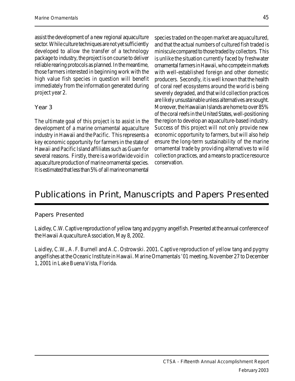assist the development of a new regional aquaculture sector. While culture techniques are not yet sufficiently developed to allow the transfer of a technology package to industry, the project is on course to deliver reliable rearing protocols as planned. In the meantime, those farmers interested in beginning work with the high value fish species in question will benefit immediately from the information generated during project year 2.

### Year 3

The ultimate goal of this project is to assist in the development of a marine ornamental aquaculture industry in Hawaii and the Pacific. This represents a key economic opportunity for farmers in the state of Hawaii and Pacific Island affiliates such as Guam for several reasons. Firstly, there is a worldwide void in aquaculture production of marine ornamental species. It is estimated that less than 5% of all marine ornamental species traded on the open market are aquacultured, and that the actual numbers of cultured fish traded is miniscule compared to those traded by collectors. This is unlike the situation currently faced by freshwater ornamental farmers in Hawaii, who compete in markets with well-established foreign and other domestic producers. Secondly, it is well known that the health of coral reef ecosystems around the world is being severely degraded, and that wild collection practices are likely unsustainable unless alternatives are sought. Moreover, the Hawaiian Islands are home to over 85% of the coral reefs in the United States, well-positioning the region to develop an aquaculture-based industry. Success of this project will not only provide new economic opportunity to farmers, but will also help ensure the long-term sustainability of the marine ornamental trade by providing alternatives to wild collection practices, and a means to practice resource conservation.

## Publications in Print, Manuscripts and Papers Presented

### Papers Presented

Laidley, C.W. Captive reproduction of yellow tang and pygmy angelfish. Presented at the annual conference of the Hawaii Aquaculture Association, May 8, 2002.

Laidley, C.W., A. F. Burnell and A.C. Ostrowski. 2001. Captive reproduction of yellow tang and pygmy angelfishes at the Oceanic Institute in Hawaii. Marine Ornamentals '01 meeting, November 27 to December 1, 2001 in Lake Buena Vista, Florida.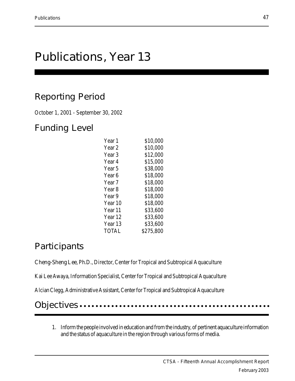## Publications, Year 13

## Reporting Period

October 1, 2001 - September 30, 2002

## Funding Level

| Year 1             | \$10,000  |
|--------------------|-----------|
| Year <sub>2</sub>  | \$10,000  |
| Year 3             | \$12,000  |
| Year 4             | \$15,000  |
| Year <sub>5</sub>  | \$38,000  |
| Year 6             | \$18,000  |
| Year 7             | \$18,000  |
| Year <sub>8</sub>  | \$18,000  |
| Year 9             | \$18,000  |
| Year 10            | \$18,000  |
| Year 11            | \$33,600  |
| Year 12            | \$33,600  |
| Year <sub>13</sub> | \$33,600  |
| TOTAL              | \$275,800 |

## **Participants**

Cheng-Sheng Lee, Ph.D., Director, Center for Tropical and Subtropical Aquaculture

Kai Lee Awaya, Information Specialist, Center for Tropical and Subtropical Aquaculture

Alcian Clegg, Administrative Assistant, Center for Tropical and Subtropical Aquaculture

Objectives ....

1. Inform the people involved in education and from the industry, of pertinent aquaculture information and the status of aquaculture in the region through various forms of media.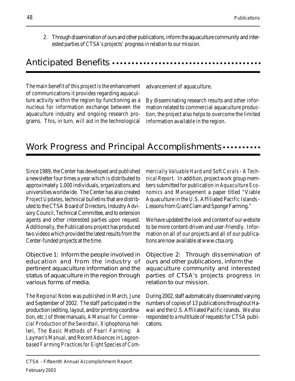2. Through dissemination of ours and other publications, inform the aquaculture community and interested parties of CTSA's projects' progress in relation to our mission.

### Anticipated Benefits ......

The main benefit of this project is the enhancement of communications it provides regarding aquaculture activity within the region by functioning as a nucleus for information exchange between the aquaculture industry and ongoing research programs. This, in turn, will aid in the technological

advancement of aquaculture.

By disseminating research results and other information related to commercial aquaculture production, the project also helps to overcome the limited information available in the region.

## Work Progress and Principal Accomplishments ........

Since 1989, the Center has developed and published a newsletter four times a year which is distributed to approximately 1,000 individuals, organizations and universities worldwide. The Center has also created Project Updates, technical bulletins that are distributed to the CTSA Board of Directors, Industry Advisory Council, Technical Committee, and to extension agents and other interested parties upon request. Additionally, the Publications project has produced two videos which provided the latest results from the Center-funded projects at the time.

Objective 1: Inform the people involved in education and from the industry of pertinent aquaculture information and the status of aquaculture in the region through various forms of media.

The Regional Notes was published in March, June and September of 2002. The staff participated in the production (editing, layout, and/or printing coordination, etc.) of three manuals, A Manual for Commercial Production of the Swordtail, Xiphophorus helleri, The Basic Methods of Pearl Farming: A Layman's Manual, and Recent Advances in Lagoonbased Farming Practices for Eight Species of Commercially Valuable Hard and Soft Corals - A Technical Report. In addition, project work group members submitted for publication in Aquaculture Economics and Management a paper titled "Viable Aquaculture in the U.S. Affiliated Pacific Islands - Lessons from Giant Clam and Sponge Farming."

We have updated the look and content of our website to be more content-driven and user-friendly. Information on all of our projects and all of our publications are now available at www.ctsa.org.

Objective 2: Through dissemination of ours and other publications, inform the aquaculture community and interested parties of CTSA's projects progress in relation to our mission.

During 2002, staff automatically disseminated varying numbers of copies of 13 publications throughout Hawaii and the U.S. Affiliated Pacific Islands. We also responded to a multitude of requests for CTSA publications.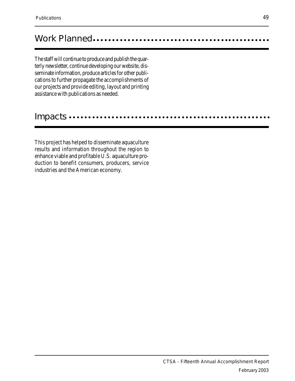## Work Planned aaaaaaaaaaaaaaaaaaaaaaaaaaaaaaaaaaa aaaaaaaaaaa

The staff will continue to produce and publish the quarterly newsletter, continue developing our website, disseminate information, produce articles for other publications to further propagate the accomplishments of our projects and provide editing, layout and printing assistance with publications as needed.

### Impacts ………………………

This project has helped to disseminate aquaculture results and information throughout the region to enhance viable and profitable U.S. aquaculture production to benefit consumers, producers, service industries and the American economy.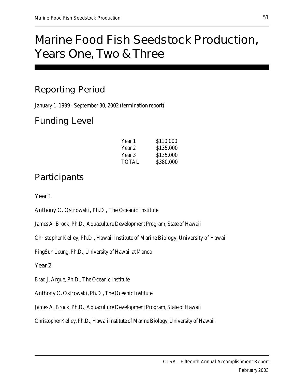# Marine Food Fish Seedstock Production, Years One, Two & Three

## Reporting Period

January 1, 1999 - September 30, 2002 (termination report)

## Funding Level

| Year 1 | \$110,000 |
|--------|-----------|
| Year 2 | \$135,000 |
| Year 3 | \$135,000 |
| TOTAL  | \$380,000 |

## **Participants**

Year 1

Anthony C. Ostrowski, Ph.D., The Oceanic Institute

James A. Brock, Ph.D., Aquaculture Development Program, State of Hawaii

Christopher Kelley, Ph.D., Hawaii Institute of Marine Biology, University of Hawaii

PingSun Leung, Ph.D., University of Hawaii at Manoa

Year 2

Brad J. Argue, Ph.D., The Oceanic Institute

Anthony C. Ostrowski, Ph.D., The Oceanic Institute

James A. Brock, Ph.D., Aquaculture Development Program, State of Hawaii

Christopher Kelley, Ph.D., Hawaii Institute of Marine Biology, University of Hawaii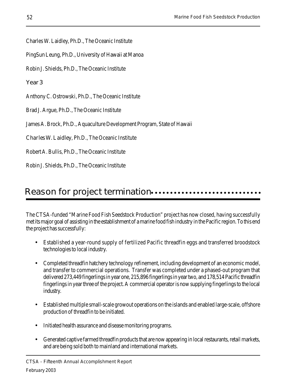Charles W. Laidley, Ph.D., The Oceanic Institute

PingSun Leung, Ph.D., University of Hawaii at Manoa

Robin J. Shields, Ph.D., The Oceanic Institute

Year 3

Anthony C. Ostrowski, Ph.D., The Oceanic Institute

Brad J. Argue, Ph.D., The Oceanic Institute

James A. Brock, Ph.D., Aquaculture Development Program, State of Hawaii

Charles W. Laidley, Ph.D., The Oceanic Institute

Robert A. Bullis, Ph.D., The Oceanic Institute

Robin J. Shields, Ph.D., The Oceanic Institute

## Reason for project termination........................

The CTSA-funded "Marine Food Fish Seedstock Production" project has now closed, having successfully met its major goal of assisting in the establishment of a marine food fish industry in the Pacific region. To this end the project has successfully:

- Established a year-round supply of fertilized Pacific threadfin eggs and transferred broodstock technologies to local industry.
- Completed threadfin hatchery technology refinement, including development of an economic model, and transfer to commercial operations. Transfer was completed under a phased-out program that delivered 273,449 fingerlings in year one, 215,896 fingerlings in year two, and 178,514 Pacific threadfin fingerlings in year three of the project. A commercial operator is now supplying fingerlings to the local industry.
- Established multiple small-scale growout operations on the islands and enabled large-scale, offshore production of threadfin to be initiated.
- Initiated health assurance and disease monitoring programs.
- Generated captive farmed threadfin products that are now appearing in local restaurants, retail markets, and are being sold both to mainland and international markets.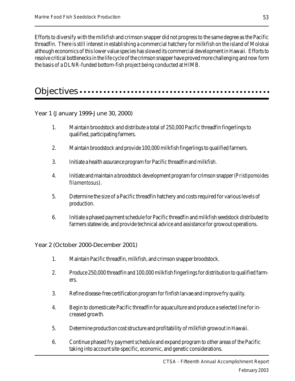Efforts to diversify with the milkfish and crimson snapper did not progress to the same degree as the Pacific threadfin. There is still interest in establishing a commercial hatchery for milkfish on the island of Molokai although economics of this lower value species has slowed its commercial development in Hawaii. Efforts to resolve critical bottlenecks in the life cycle of the crimson snapper have proved more challenging and now form the basis of a DLNR-funded bottom-fish project being conducted at HIMB.

## Objectives aaaaaaaaaaaaaa aaaaaaaaaaaaaaaaaaaaaaaaaaaaaaaaaaa

Year 1 (January 1999-June 30, 2000)

- 1. Maintain broodstock and distribute a total of 250,000 Pacific threadfin fingerlings to qualified, participating farmers.
- 2. Maintain broodstock and provide 100,000 milkfish fingerlings to qualified farmers.
- 3. Initiate a health assurance program for Pacific threadfin and milkfish.
- 4. Initiate and maintain a broodstock development program for crimson snapper (Pristipomoides filamentosus).
- 5. Determine the size of a Pacific threadfin hatchery and costs required for various levels of production.
- 6. Initiate a phased payment schedule for Pacific threadfin and milkfish seedstock distributed to farmers statewide, and provide technical advice and assistance for growout operations.

Year 2 (October 2000-December 2001)

- 1. Maintain Pacific threadfin, milkfish, and crimson snapper broodstock.
- 2. Produce 250,000 threadfin and 100,000 milkfish fingerlings for distribution to qualified farmers.
- 3. Refine disease-free certification program for finfish larvae and improve fry quality.
- 4. Begin to domesticate Pacific threadfin for aquaculture and produce a selected line for increased growth.
- 5. Determine production cost structure and profitability of milkfish growout in Hawaii.
- 6. Continue phased fry payment schedule and expand program to other areas of the Pacific taking into account site-specific, economic, and genetic considerations.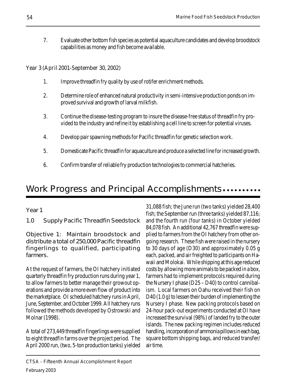7. Evaluate other bottom fish species as potential aquaculture candidates and develop broodstock capabilities as money and fish become available.

Year 3 (April 2001-September 30, 2002)

- 1. Improve threadfin fry quality by use of rotifer enrichment methods.
- 2. Determine role of enhanced natural productivity in semi-intensive production ponds on improved survival and growth of larval milkfish.
- 3. Continue the disease-testing program to insure the disease-free status of threadfin fry provided to the industry and refine it by establishing a cell line to screen for potential viruses.
- 4. Develop pair spawning methods for Pacific threadfin for genetic selection work.
- 5. Domesticate Pacific threadfin for aquaculture and produce a selected line for increased growth.
- 6. Confirm transfer of reliable fry production technologies to commercial hatcheries.

## Work Progress and Principal Accomplishments.........

1.0 Supply Pacific Threadfin Seedstock

Objective 1: Maintain broodstock and distribute a total of 250,000 Pacific threadfin fingerlings to qualified, participating farmers.

At the request of farmers, the OI hatchery initiated quarterly threadfin fry production runs during year 1, to allow farmers to better manage their growout operations and provide a more even flow of product into the marketplace. OI scheduled hatchery runs in April, June, September, and October 1999. All hatchery runs followed the methods developed by Ostrowski and Molnar (1998).

A total of 273,449 threadfin fingerlings were supplied to eight threadfin farms over the project period. The April 2000 run, (two, 5-ton production tanks) yielded

Year 1 31,088 fish; the June run (two tanks) yielded 28,400 fish; the September run (three tanks) yielded 87,116; and the fourth run (four tanks) in October yielded 84,078 fish. An additional 42,767 threadfin were supplied to farmers from the OI hatchery from other ongoing research. These fish were raised in the nursery to 30 days of age (D30) and approximately 0.05 g each, packed, and air freighted to participants on Hawaii and Molokai. While shipping at this age reduced costs by allowing more animals to be packed in a box, farmers had to implement protocols required during the Nursery I phase (D25 – D40) to control cannibalism. Local farmers on Oahu received their fish on D40 (1.0 g) to lessen their burden of implementing the Nursery I phase. New packing protocols based on 24-hour pack-out experiments conducted at OI have increased the survival (98%) of landed fry to the outer islands. The new packing regimen includes reduced handling, incorporation of ammonia pillows in each bag, square bottom shipping bags, and reduced transfer/ air time.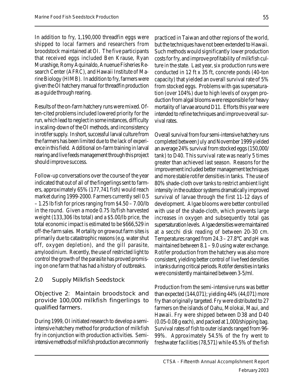In addition to fry, 1,190,000 threadfin eggs were shipped to local farmers and researchers from broodstock maintained at OI. The five participants that received eggs included Ben Krause, Ryan Murashige, Romy Aquinaldo, Anuenue Fisheries Research Center (AFRC), and Hawaii Institute of Marine Biology (HIMB). In addition to fry, farmers were given the OI hatchery manual for threadfin production as a guide through rearing.

Results of the on-farm hatchery runs were mixed. Often-cited problems included lowered priority for the run, which lead to neglect in some instances, difficulty in scaling-down of the OI methods, and inconsistency in rotifer supply. In short, successful larval culture from the farmers has been limited due to the lack of experience in this field. Additional on-farm training in larval rearing and live feeds management through this project should improve success.

Follow-up conversations over the course of the year indicated that out of all of the fingerlings sent to farmers, approximately 65% (177,741 fish) would reach market during 1999-2000. Farmers currently sell 0.5 – 1.25 lb fish for prices ranging from \$4.50 – 7.00/lb in the round. Given a mode 0.75 lb/fish harvested weight (133,306 lbs total) and a \$5.00/lb price, the total economic impact is estimated to be \$666,529 in off-the-farm sales. Mortality on growout farm sites is primarily due to catastrophic reasons (e.g. water shut off, oxygen depletion), and the gill parasite, amyloodinium. Recently, the use of restricted light to control the growth of the parasite has proved promising on one farm that has had a history of outbreaks.

### 2.0 Supply Milkfish Seedstock

Objective 2: Maintain broodstock and provide 100,000 milkfish fingerlings to qualified farmers.

During 1999, OI initiated research to develop a semiintensive hatchery method for production of milkfish fry in conjunction with production activities. Semiintensive methods of milkfish production are commonly

practiced in Taiwan and other regions of the world, but the techniques have not been extended to Hawaii. Such methods would significantly lower production costs for fry, and improve profitability of milkfish culture in the state. Last year, six production runs were conducted in 12 ft x 35 ft, concrete ponds (40-ton capacity) that yielded an overall survival rate of 5% from stocked eggs. Problems with gas supersaturation (over 104%) due to high levels of oxygen production from algal blooms were responsible for heavy mortality of larvae around D11. Efforts this year were intended to refine techniques and improve overall survival rates.

Overall survival from four semi-intensive hatchery runs completed between July and November 1999 yielded an average 24% survival from stocked eggs (150,000/ tank) to D40. This survival rate was nearly 5 times greater than achieved last season. Reasons for the improvement included better management techniques and more stable rotifer densities in tanks. The use of 80% shade-cloth over tanks to restrict ambient light intensity in the outdoor systems dramatically improved survival of larvae through the first 11-12 days of development. Algae blooms were better controlled with use of the shade-cloth, which prevents large increases in oxygen and subsequently total gas supersaturation levels. Algae densities were maintained at a secchi disk reading of between 20-30 cm. Temperatures ranged from 24.3 – 27.8°C and pH was maintained between 8.1 – 9.0 using water exchange. Rotifer production from the hatchery was also more consistent, yielding better control of live feed densities in tanks during critical periods. Rotifer densities in tanks were consistently maintained between 3-5/ml.

Production from the semi-intensive runs was better than expected (144,071); yielding 44% (44,071) more fry than originally targeted. Fry were distributed to 27 farmers on the islands of Oahu, Molokai, Maui, and Hawaii. Fry were shipped between D38 and D40 (0.05-0.08 g each), and packed at 1,000/shipping bag. Survival rates of fish to outer islands ranged from 96- 99%. Approximately 54.5% of the fry went to freshwater facilities (78,571) while 45.5% of the fish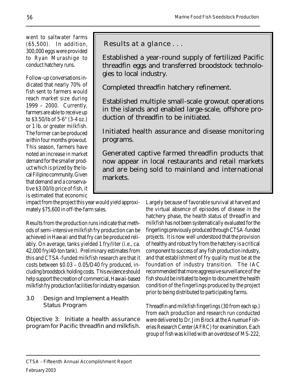went to saltwater farms (65,500). In addition, 300,000 eggs were provided to Ryan Murashige to conduct hatchery runs.

Follow-up conversations indicated that nearly 70% of fish sent to farmers would reach market size during 1999 – 2000. Currently, farmers are able to receive up to \$3.50/lb of 5-6" (3-4 oz.) or 1 lb. or greater milkfish. The former can be produced within four months growout. This season, farmers have noted an increase in market demand for the smaller product which is prized by the local Filipino community. Given that demand and a conservative \$3.00/lb price of fish, it is estimated that economic

Results at a glance . . .

Established a year-round supply of fertilized Pacific threadfin eggs and transferred broodstock technologies to local industry.

Completed threadfin hatchery refinement.

Established multiple small-scale growout operations in the islands and enabled large-scale, offshore production of threadfin to be initiated.

Initiated health assurance and disease monitoring programs.

Generated captive farmed threadfin products that now appear in local restaurants and retail markets and are being sold to mainland and international markets.

impact from the project this year would yield approximately \$75,600 in off-the-farm sales.

Results from the production runs indicate that methods of semi-intensive milkfish fry production can be achieved in Hawaii and that fry can be produced reliably. On average, tanks yielded 1 fry/liter (i.e., ca. 42,000 fry/40-ton tank). Preliminary estimates from this and CTSA-funded milkfish research are that it costs between \$0.03 – 0.05/D40 fry produced, including broodstock holding costs. This evidence should help support the creation of commercial, Hawaii-based milkfish fry production facilities for industry expansion.

3.0 Design and Implement a Health Status Program

Objective 3: Initiate a health assurance program for Pacific threadfin and milkfish. Largely because of favorable survival at harvest and the virtual absence of episodes of disease in the hatchery phase, the health status of threadfin and milkfish has not been systematically evaluated for the fingerlings previously produced through CTSA-funded projects. It is now well understood that the provision of healthy and robust fry from the hatchery is a critical component to success of any fish production industry, and that establishment of fry quality must be at the foundation of industry transition. The IAC recommended that more aggressive surveillance of the fish should be initiated to begin to document the health condition of the fingerlings produced by the project prior to being distributed to participating farms.

Threadfin and milkfish fingerlings (30 from each sp.) from each production and research run conducted were delivered to Dr. Jim Brock at the Anuenue Fisheries Research Center (AFRC) for examination. Each group of fish was killed with an overdose of MS-222,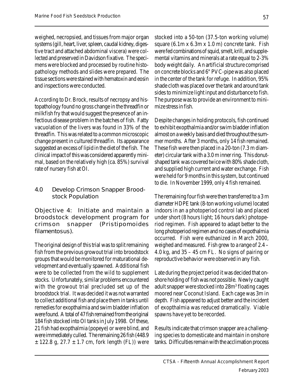weighed, necropsied, and tissues from major organ systems (gill, heart, liver, spleen, caudal kidney, digestive tract and attached abdominal viscera) were collected and preserved in Davidson fixative. The specimens were blocked and processed by routine histopathology methods and slides were prepared. The tissue sections were stained with hematoxin and eosin and inspections were conducted.

According to Dr. Brock, results of necropsy and histopathology found no gross change in the threadfin or milkfish fry that would suggest the presence of an infectious disease problem in the batches of fish. Fatty vacuolation of the livers was found in 33% of the threadfin. This was related to a common microscopic change present in cultured threadfin. Its appearance suggested an excess of lipid in the diet of the fish. The clinical impact of this was considered apparently minimal, based on the relatively high (ca. 85%) survival rate of nursery fish at OI.

### 4.0 Develop Crimson Snapper Broodstock Population

Objective 4: Initiate and maintain a broodstock development program for crimson snapper (Pristipomoides filamentosus).

The original design of this trial was to split remaining fish from the previous growout trial into broodstock groups that would be monitored for maturational development and eventually spawned. Additional fish were to be collected from the wild to supplement stocks. Unfortunately, similar problems encountered with the growout trial precluded set up of the broodstock trial. It was decided it was not warranted to collect additional fish and place them in tanks until remedies for exopthalmia and swim bladder inflation were found. A total of 47 fish remained from the original 184 fish stocked into OI tanks in July 1998. Of these, 21 fish had exopthalmia (popeye) or were blind, and were immediately culled. The remaining 26 fish (448.9  $\pm$  122.8 g, 27.7  $\pm$  1.7 cm, fork length (FL)) were stocked into a 50-ton (37.5-ton working volume) square (6.1m x 6.3m x 1.0 m) concrete tank. Fish were fed combinations of squid, smelt, krill, and supplemental vitamins and minerals at a rate equal to 2-3% body weight daily. An artificial structure comprised on concrete blocks and 6" PVC-pipe was also placed in the center of the tank for refuge. In addition, 95% shade cloth was placed over the tank and around tank sides to minimize light input and disturbance to fish. The purpose was to provide an environment to minimize stress in fish.

Despite changes in holding protocols, fish continued to exhibit exopthalmia and/or swim bladder inflation almost on a weekly basis and died throughout the summer months. After 3 months, only 14 fish remained. These fish were then placed in a 20-ton (7.3 m diameter) circular tank with a 3.0 m inner ring. This donutshaped tank was covered twice with 80% shade cloth, and supplied high current and water exchange. Fish were held for 9 months in this system, but continued to die. In November 1999, only 4 fish remained.

The remaining four fish were then transferred to a 3 m diameter HDPE tank (8-ton working volume) located indoors in an a photoperiod control lab and placed under short (8 hours light; 16 hours dark) photoperiod regimen. Fish appeared to adapt better to the long photoperiod regimen and no cases of expothalmia occurred. Fish were euthanized in March 2000, weighed and measured. Fish grew to a range of 2.4 – 4.0 kg, and 35 – 45 cm FL. No signs of pairing or reproductive behavior were observed in any fish.

Late during the project period it was decided that onshore holding of fish was not possible. Newly caught adult snapper were stocked into 28m<sup>3</sup> floating cages moored near Coconut Island. Each cage was 3m in depth. Fish appeared to adjust better and the incident of exopthalmia was reduced dramatically. Viable spawns have yet to be recorded.

Results indicate that crimson snapper are a challenging species to domesticate and maintain in onshore tanks. Difficulties remain with the acclimation process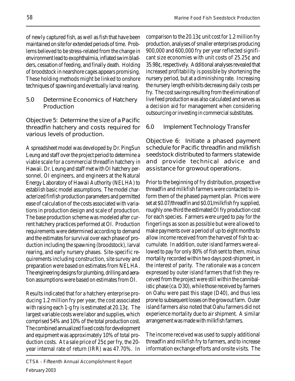of newly captured fish, as well as fish that have been maintained on site for extended periods of time. Problems believed to be stress-related from the change in environment lead to exophthalmia, inflated swim bladders, cessation of feeding, and finally death. Holding of broodstock in nearshore cages appears promising. These holding methods might be linked to onshore techniques of spawning and eventually larval rearing.

5.0 Determine Economics of Hatchery Production

Objective 5: Determine the size of a Pacific threadfin hatchery and costs required for various levels of production.

A spreadsheet model was developed by Dr. PingSun Leung and staff over the project period to determine a viable scale for a commercial threadfin hatchery in Hawaii. Dr. Leung and staff met with OI hatchery personnel, OI engineers, and engineers at the Natural Energy Laboratory of Hawaii Authority (NELHA) to establish basic model assumptions. The model characterized finfish production parameters and permitted ease of calculation of the costs associated with variations in production design and scale of production. The base production scheme was modeled after current hatchery practices performed at OI. Production requirements were determined according to demand and the estimates for survival over each phase of production including the spawning (broodstock), larval rearing, and early nursery phases. Site-specific requirements including construction, site survey and preparation were based on estimates from NELHA. The engineering designs for plumbing, drilling and aeration assumptions were based on estimates from OI.

Results indicated that for a hatchery enterprise producing 1.2 million fry per year, the cost associated with raising each 1-g fry is estimated at 20.13¢. The largest variable costs were labor and supplies, which comprised 54% and 10% of the total production cost. The combined annualized fixed costs for development and equipment was approximately 10% of total production costs. At a sale price of 25¢ per fry, the 20 year internal rate of return (IRR) was 47.70%. In comparison to the 20.13¢ unit cost for 1.2 million fry production, analyses of smaller enterprises producing 900,000 and 600,000 fry per year reflected significant size economies with unit costs of 25.25¢ and 35.98¢, respectively. Additional analyses revealed that increased profitability is possible by shortening the nursery period, but at a diminishing rate. Increasing the nursery length exhibits decreasing daily costs per fry. The cost savings resulting from the elimination of live feed production was also calculated and serves as a decision aid for management when considering outsourcing or investing in commercial substitutes.

### 6.0 Implement Technology Transfer

Objective 6: Initiate a phased payment schedule for Pacific threadfin and milkfish seedstock distributed to farmers statewide and provide technical advice and assistance for growout operations.

Prior to the beginning of fry distribution, prospective threadfin and milkfish farmers were contacted to inform them of the phased payment plan. Prices were set at \$0.07/threadfin and \$0.01/milkfish fry supplied, roughly one-third the estimated OI fry production cost for each species. Farmers were urged to pay for the fingerlings as soon as possible but were allowed to make payments over a period of up to eight months to allow income received from the harvest of fish to accumulate. In addition, outer island farmers were allowed to pay for only 80% of fish sent to them, minus mortality recorded within two days post-shipment, in the interest of parity. The rationale was a concern expressed by outer island farmers that fish they received from the project were still within the cannibalistic phase (ca. D30), while those received by farmers on Oahu were past this stage (D40), and thus less prone to subsequent losses on the growout farm. Outer island farmers also noted that Oahu farmers did not experience mortality due to air shipment. A similar arrangement was made with milkfish farmers.

The income received was used to supply additional threadfin and milkfish fry to farmers, and to increase information exchange efforts and onsite visits. The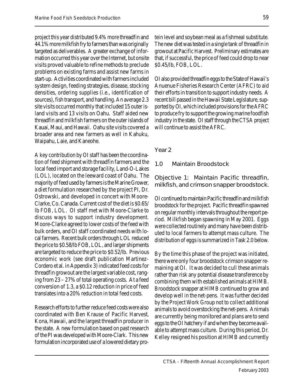project this year distributed 9.4% more threadfin and 44.1% more milkfish fry to farmers than was originally targeted as deliverables. A greater exchange of information occurred this year over the Internet, but onsite visits proved valuable to refine methods to preclude problems on existing farms and assist new farms in start-up. Activities coordinated with farmers included system design, feeding strategies, disease, stocking densities, ordering supplies (i.e., identification of sources), fish transport, and handling. An average 2.3 site visits occurred monthly that included 15 outer island visits and 13 visits on Oahu. Staff aided new threadfin and milkfish farmers on the outer islands of Kauai, Maui, and Hawaii. Oahu site visits covered a broader area and new farmers as well in Kahuku, Waipahu, Laie, and Kaneohe.

A key contribution by OI staff has been the coordination of feed shipment with threadfin farmers and the local feed import and storage facility, Land-O-Lakes (LOL), located on the leeward coast of Oahu. The majority of feed used by farmers is the Marine Grower, a diet formulation researched by the project PI, Dr. Ostrowski, and developed in concert with Moore-Clarke, Co. Canada. Current cost of the diet is \$0.65/ lb FOB, LOL. OI staff met with Moore-Clarke to discuss ways to support industry development. Moore-Clarke agreed to lower costs of the feed with bulk orders, and OI staff coordinated needs with local farmers. Recent bulk orders through LOL reduced the price to \$0.58/lb FOB, LOL, and larger shipments are targeted to reduce the price to \$0.52/lb. Previous economic work (see draft publication Martinez-Cordero et al. in Appendix 3) indicated feed costs for threadfin growout are the largest variable cost, ranging from 23 – 27% of total operating costs. At a feed conversion of 1.3, a \$0.12 reduction in price of feed translates into a 20% reduction in total feed costs.

Research efforts to further reduce feed costs were also coordinated with Ben Krause of Pacific Harvest, Kona, Hawaii, and the largest threadfin producer in the state. A new formulation based on past research of the PI was developed with Moore-Clark. This new formulation incorporated use of a lowered dietary protein level and soybean meal as a fishmeal substitute. The new diet was tested in a single tank of threadfin in growout at Pacific Harvest. Preliminary estimates are that, if successful, the price of feed could drop to near \$0.45/lb, FOB, LOL.

OI also provided threadfin eggs to the State of Hawaii's Anuenue Fisheries Research Center (AFRC) to aid their efforts in transition to support industry needs. A recent bill passed in the Hawaii State Legislature, supported by OI, which included provisions for the AFRC to produce fry to support the growing marine foodfish industry in the state. OI staff through the CTSA project will continue to assist the AFRC.

### Year 2

### 1.0 Maintain Broodstock

Objective 1: Maintain Pacific threadfin, milkfish, and crimson snapper broodstock.

OI continued to maintain Pacific threadfin and milkfish broodstock for the project. Pacific threadfin spawned on regular monthly intervals throughout the report period. Milkfish began spawning in May 2001. Eggs were collected routinely and many have been distributed to local farmers to attempt mass culture. The distribution of eggs is summarized in Task 2.0 below.

By the time this phase of the project was initiated, there were only four broodstock crimson snapper remaining at OI. It was decided to cull these animals rather than risk any potential disease transference by combining them with established animals at HIMB. Broodstock snapper at HIMB continued to grow and develop well in the net-pens. It was further decided by the Project Work Group not to collect additional animals to avoid overstocking the net-pens. Animals are currently being monitored and plans are to send eggs to the OI hatchery if and when they become available to attempt mass culture. During this period, Dr. Kelley resigned his position at HIMB and currently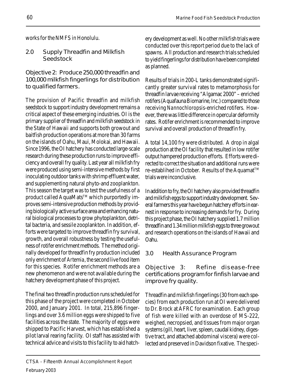works for the NMFS in Honolulu.

2.0 Supply Threadfin and Milkfish Seedstock

Objective 2: Produce 250,000 threadfin and 100,000 milkfish fingerlings for distribution to qualified farmers.

The provision of Pacific threadfin and milkfish seedstock to support industry development remains a critical aspect of these emerging industries. OI is the primary supplier of threadfin and milkfish seedstock in the State of Hawaii and supports both growout and baitfish production operations at more than 30 farms on the islands of Oahu, Maui, Molokai, and Hawaii. Since 1996, the OI hatchery has conducted large-scale research during these production runs to improve efficiency and overall fry quality. Last year all milkfish fry were produced using semi-intensive methods by first inoculating outdoor tanks with shrimp effluent water, and supplementing natural phyto-and zooplankton. This season the target was to test the usefulness of a product called AquaMats<sup>™</sup> which purportedly improves semi-intensive production methods by providing biologically active surface area and enhancing natural biological processes to grow phytoplankton, detrital bacteria, and sessile zooplankton. In addition, efforts were targeted to improve threadfin fry survival, growth, and overall robustness by testing the usefulness of rotifer enrichment methods. The method originally developed for threadfin fry production included only enrichment of Artemia, the second live food item for this species. Rotifer enrichment methods are a new phenomenon and were not available during the hatchery development phase of this project.

The final two threadfin production runs scheduled for this phase of the project were completed in October 2000, and January 2001. In total, 215,896 fingerlings and over 3.6 million eggs were shipped to five facilities across the state. The majority of eggs were shipped to Pacific Harvest, which has established a pilot larval rearing facility. OI staff has assisted with technical advice and visits to this facility to aid hatchery development as well. No other milkfish trials were conducted over this report period due to the lack of spawns. All production and research trials scheduled to yield fingerlings for distribution have been completed as planned.

Results of trials in 200-L tanks demonstrated significantly greater survival rates to metamorphosis for threadfin larvae receiving "Algamac 2000" – enriched rotifers (Aquafauna Biomarine, Inc.) compared to those receiving Nannochloropsis-enriched rotifers. However, there was little difference in opercular deformity rates. Rotifer enrichment is recommended to improve survival and overall production of threadfin fry.

A total 14,100 fry were distributed. A drop in algal production at the OI facility that resulted in low rotifer output hampered production efforts. Efforts were directed to correct the situation and additional runs were re-establihed in October. Results of the Aquamat<sup>™</sup> trials were inconclusive.

In addition to fry, the OI hatchery also provided threadfin and milkfish eggs to support industry development. Several farmers this year have begun hatchery efforts in earnest in response to increasing demands for fry. During this project phase, the OI hatchery supplied 1.7 million threadfin and 1.34 million milkfish eggs to three growout and research operations on the islands of Hawaii and Oahu.

3.0 Health Assurance Program

Objective 3: Refine disease-free certifications program for finfish larvae and improve fry quality.

Threadfin and milkfish fingerlings (30 from each species) from each production run at OI were delivered to Dr. Brock at AFRC for examination. Each group of fish were killed with an overdose of MS-222, weighed, necropsied, and tissues from major organ systems (gill, heart, liver, spleen, caudal kidney, digestive tract, and attached abdominal viscera) were collected and preserved in Davidson fixative. The speci-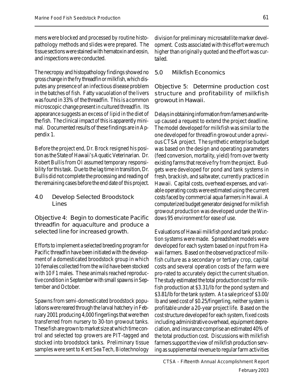mens were blocked and processed by routine histopathology methods and slides were prepared. The tissue sections were stained with hematoxin and eosin, and inspections were conducted.

The necropsy and histopathology findings showed no gross change in the fry threadfin or milkfish, which disputes any presence of an infectious disease problem in the batches of fish. Fatty vacuolation of the livers was found in 33% of the threadfin. This is a common microscopic change present in cultured threadfin. Its appearance suggests an excess of lipid in the diet of the fish. The clinical impact of this is apparently minimal. Documented results of these findings are in Appendix 1.

Before the project end, Dr. Brock resigned his position as the State of Hawaii's Aquatic Veterinarian. Dr. Robert Bullis from OI assumed temporary responsibility for this task. Due to the lag time in transition, Dr. Bullis did not complete the processing and reading of the remaining cases before the end date of this project.

4.0 Develop Selected Broodstock Lines

Objective 4: Begin to domesticate Pacific threadfin for aquaculture and produce a selected line for increased growth.

Efforts to implement a selected breeding program for Pacific threadfin have been initiated with the development of a domesticated broodstock group in which 10 females collected from the wild have been stocked with 10 F1 males. These animals reached reproductive condition in September with small spawns in September and October.

Spawns from semi-domesticated broodstock populations were reared through the larval hatchery in February 2001 producing 4,000 fingerlings that were then transferred from nursery to 30-ton growout tanks. These fish are grown to market size at which time control and selected top growers are PIT-tagged and stocked into broodstock tanks. Preliminary tissue samples were sent to Kent Sea Tech, Biotechnology

division for preliminary microsatellite marker development. Costs associated with this effort were much higher than originally quoted and the effort was curtailed.

### 5.0 Milkfish Economics

Objective 5: Determine production cost structure and profitability of milkfish growout in Hawaii.

Delays in obtaining information from farmers and writeup caused a request to extend the project deadline. The model developed for milkfish was similar to the one developed for threadfin growout under a previous CTSA project. The synthetic enterprise budget was based on the design and operating parameters (feed conversion, mortality, yield) from over twenty existing farms that receive fry from the project. Budgets were developed for pond and tank systems in fresh, brackish, and saltwater, currently practiced in Hawaii. Capital costs, overhead expenses, and variable operating costs were estimated using the current costs faced by commercial aqua farmers in Hawaii. A computerized budget generator designed for milkfish growout production was developed under the Windows 95 environment for ease of use.

Evaluations of Hawaii milkfish pond and tank production systems were made. Spreadsheet models were developed for each system based on input from Hawaii farmers. Based on the observed practice of milkfish culture as a secondary or tertiary crop, capital costs and several operation costs of the farm were pro-rated to accurately depict the current situation. The study estimated the total production cost for milkfish production at \$3.31/lb for the pond system and \$3.81/lb for the tank system. At a sale price of \$3.00/ lb and seed cost of \$0.25/fingerling, neither system is profitable under a 20-year project life. Based on the cost structure developed for each system, fixed costs including administrative overhead, equipment depreciation, and insurance comprise an estimated 40% of the total production cost. Discussions with milkfish farmers support the view of milkfish production serving as supplemental revenue to regular farm activities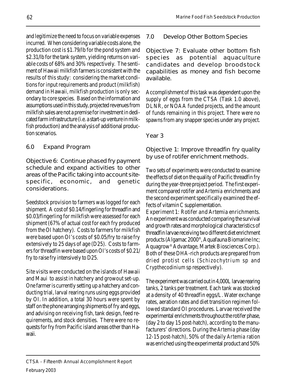and legitimize the need to focus on variable expenses incurred. When considering variable costs alone, the production cost is \$1.79/lb for the pond system and \$2.31/lb for the tank system, yielding returns on variable costs of 68% and 30% respectively. The sentiment of Hawaii milkfish farmers is consistent with the results of this study: considering the market conditions for input requirements and product (milkfish) demand in Hawaii, milkfish production is only secondary to core species. Based on the information and assumptions used in this study, projected revenues from milkfish sales are not a premise for investment in dedicated farm infrastructure (i.e. a start-up venture in milkfish production) and the analysis of additional production scenarios.

### 6.0 Expand Program

Objective 6: Continue phased fry payment schedule and expand activities to other areas of the Pacific taking into account sitespecific, economic, and genetic considerations.

Seedstock provision to farmers was logged for each shipment. A cost of \$0.14/fingerling for threadfin and \$0.03/fingerling for milkfish were assessed for each shipment (67% of actual cost for each fry produced from the OI hatchery). Costs to farmers for milkfish were based upon OI's costs of \$0.05/fry to raise fry extensively to 25 days of age (D25). Costs to farmers for threadfin were based upon OI's costs of \$0.21/ fry to raise fry intensively to D25.

Site visits were conducted on the islands of Hawaii and Maui to assist in hatchery and growout set-up. One farmer is currently setting up a hatchery and conducting trial, larval rearing runs using eggs provided by OI. In addition, a total 30 hours were spent by staff on the phone arranging shipments of fry and eggs, and advising on receiving fish, tank design, feed requirements, and stock densities. There were no requests for fry from Pacific island areas other than Hawaii.

### 7.0 Develop Other Bottom Species

Objective 7: Evaluate other bottom fish species as potential aquaculture candidates and develop broodstock capabilities as money and fish become available.

Accomplishment of this task was dependent upon the supply of eggs from the CTSA (Task 1.0 above), DLNR, or NOAA funded projects, and the amount of funds remaining in this project. There were no spawns from any snapper species under any project.

### Year 3

Objective 1: Improve threadfin fry quality by use of rotifer enrichment methods.

Two sets of experiments were conducted to examine the effects of diet on the quality of Pacific threadfin fry during the year-three project period. The first experiment compared rotifer and Artemia enrichments and the second experiment specifically examined the effects of vitamin C supplementation.

Experiment 1: Rotifer and Artemia enrichments. An experiment was conducted comparing the survival and growth rates and morphological characteristics of threadfin larvae receiving two different diet enrichment products (Algamac 2000®, Aquafauna Biomarine Inc; Aquagrow® Advantage, Martek Biosciences Corp.). Both of these DHA-rich products are prepared from dried protist cells (Schizochytrium sp and Crypthecodinium sp respectively).

The experiment was carried out in 4,000L larvae rearing tanks, 2 tanks per treatment. Each tank was stocked at a density of 40 threadfin eggs/L. Water exchange rates, aeration rates and diet transition regimen followed standard OI procedures. Larvae received the experimental enrichments throughout the rotifer phase, (day 2 to day 15 post-hatch), according to the manufacturers' directions. During the Artemia phase (day 12-15 post-hatch), 50% of the daily Artemia ration was enriched using the experimental product and 50%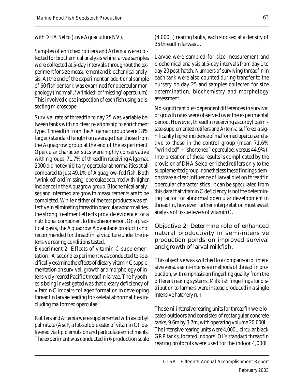### with DHA Selco (Inve Aquaculture NV).

Samples of enriched rotifers and Artemia were collected for biochemical analysis while larvae samples were collected at 5-day intervals throughout the experiment for size measurement and biochemical analysis. At the end of the experiment an additional sample of 60 fish per tank was examined for opercular morphology ('normal', 'wrinkled' or 'missing' operculum). This involved close inspection of each fish using a dissecting microscope.

Survival rate of threadfin to day 25 was variable between tanks with no clear relationship to enrichment type. Threadfin from the Algamac group were 18% larger (standard length) on average than those from the Aquagrow group at the end of the experiment. Opercular characteristics were highly conservative within groups. 71.7% of threadfin receiving Algamac 2000 did not exhibit any opercular abnormalities at all compared to just 49.1% of Aquagrow-fed fish. Both 'wrinkled' and 'missing' operculae occurred with higher incidence in the Aquagrow group. Biochemical analyses and intermediate growth measurements are to be completed. While neither of the test products was effective in eliminating threadfin opercular abnormalities, the strong treatment effects provide evidence for a nutritional component to this phenomenon. On a practical basis, the Aquagrow Advantage product is not recommended for threadfin larviculture under the intensive rearing conditions tested.

Experiment 2: Effects of vitamin C supplementation. A second experiment was conducted to specifically examine the effects of dietary vitamin C supplementation on survival, growth and morphology of intensively reared Pacific threadfin larvae. The hypothesis being investigated was that dietary deficiency of vitamin C impairs collagen formation in developing threadfin larvae leading to skeletal abnormalities including malformed operculae.

Rotifers and Artemia were supplemented with ascorbyl palmitate (AscP, a fat-soluble ester of vitamin C), delivered via lipid emulsion and particulate enrichments. The experiment was conducted in 6 production scale (4,000L) rearing tanks, each stocked at a density of 35 threadfin larvae/L.

Larvae were sampled for size measurement and biochemical analysis at 5-day intervals from day 1 to day 20 post-hatch. Numbers of surviving threadfin in each tank were also counted during transfer to the nursery on day 25 and samples collected for size determination, biochemistry and morphology assessment.

No significant diet-dependent differences in survival or growth rates were observed over the experimental period. However, threadfin receiving ascorbyl palmitate-supplemented rotifers and Artemia suffered a significantly higher incidence of malformed operculae relative to those in the control group (mean 71.6% "wrinkled" + "shortened" operculae, versus 44.9%). Interpretation of these results is complicated by the provision of DHA Selco-enriched rotifers only to the supplemented group; nonetheless these findings demonstrate a clear influence of larval diet on threadfin opercular characteristics. It can be speculated from this data that vitamin C deficiency is not the determining factor for abnormal opercular development in threadfin, however further interpretation must await analysis of tissue levels of vitamin C.

Objective 2: Determine role of enhanced natural productivity in semi-intensive production ponds on improved survival and growth of larval milkfish.

This objective was switched to a comparison of intensive versus semi-intensive methods of threadfin production, with emphasis on fingerling quality from the different rearing systems. Milkfish fingerlings for distribution to farmers were instead produced in a single intensive hatchery run.

The semi-intensive rearing units for threadfin were located outdoors and consisted of rectangular concrete tanks, 9.6m by 3.7m, with operating volume 20,000L. The intensive rearing units were 4,000L circular black GRP tanks, located indoors. OI's standard threadfin rearing protocols were used for the indoor 4,000L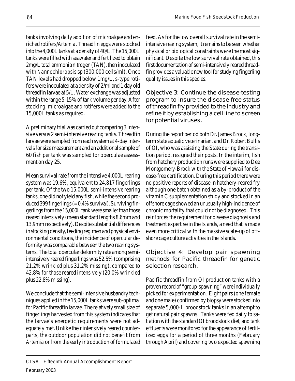tanks involving daily addition of microalgae and enriched rotifers/Artemia. Threadfin eggs were stocked into the 4,000L tanks at a density of 40/L. The 15,000L tanks were filled with seawater and fertilized to obtain 2mg/L total ammonia nitrogen (TAN), then inoculated with Nannochloropsis sp (300,000 cells/ml). Once TAN levels had dropped below 1mg/L, s-type rotifers were inoculated at a density of 2/ml and 1 day old threadfin larvae at 5/L. Water exchange was adjusted within the range 5-15% of tank volume per day. After stocking, microalgae and rotifers were added to the 15,000L tanks as required.

A preliminary trial was carried out comparing 3 intensive versus 2 semi-intensive rearing tanks. Threadfin larvae were sampled from each system at 4-day intervals for size measurement and an additional sample of 60 fish per tank was sampled for operculae assessment on day 25.

Mean survival rate from the intensive 4,000L rearing system was 19.6%, equivalent to 24,817 fingerlings per tank. Of the two 15,000L semi-intensive rearing tanks, one did not yield any fish, while the second produced 399 fingerlings (= 0.4% survival). Surviving fingerlings from the 15,000L tank were smaller than those reared intensively (mean standard lengths 8.6mm and 13.9mm respectively). Despite substantial differences in stocking density, feeding regimen and physical environmental conditions, the incidence of opercular deformity was comparable between the two rearing systems. The total opercular deformity rate among semiintensively reared fingerlings was 52.5% (comprising 21.2% wrinkled plus 31.2% missing), compared to 42.8% for those reared intensively (20.0% wrinkled plus 22.8% missing).

We conclude that the semi-intensive husbandry techniques applied in the 15,000L tanks were sub-optimal for Pacific threadfin larvae. The relatively small size of fingerlings harvested from this system indicates that the larvae's energetic requirements were not adequately met. Unlike their intensively reared counterparts, the outdoor population did not benefit from Artemia or from the early introduction of formulated feed. As for the low overall survival rate in the semiintensive rearing system, it remains to be seen whether physical or biological constraints were the most significant. Despite the low survival rate obtained, this first documentation of semi-intensively reared threadfin provides a valuable new tool for studying fingerling quality issues in this species.

Objective 3: Continue the disease-testing program to insure the disease-free status of threadfin fry provided to the industry and refine it by establishing a cell line to screen for potential viruses.

During the report period both Dr. James Brock, longterm state aquatic veterinarian, and Dr. Robert Bullis of OI, who was assisting the State during the transition period, resigned their posts. In the interim, fish from hatchery production runs were supplied to Dee Montgomery-Brock with the State of Hawaii for disease-free certification. During this period there were no positive reports of disease in hatchery-reared fry although one batch obtained as a by-product of the vitamin C supplementation study and stocked in an offshore cage showed an unusually high-incidence of chronic mortality that could not be diagnosed. This reinforces the requirement for disease diagnosis and treatment expertise in the Islands, a need that is made even more critical with the massive scale-up of offshore cage culture activities in the Islands.

Objective 4: Develop pair spawning methods for Pacific threadfin for genetic selection research.

Pacific threadfin from OI production tanks with a proven record of "group-spawning" were individually picked for experimentation. Eight pairs (one female and one male) confirmed by biopsy were stocked into separate 5,000-L broodstock tanks in an attempt to get natural pair spawns. Tanks were fed daily to satiation with the standard OI broodstock diet, and tank effluents were monitored for the appearance of fertilized eggs for a period of three months (February through April) and covering two expected spawning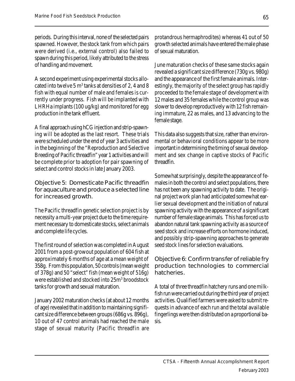periods. During this interval, none of the selected pairs spawned. However, the stock tank from which pairs were derived (i.e., external control) also failed to spawn during this period, likely attributed to the stress of handling and movement.

A second experiment using experimental stocks allocated into twelve 5  $\text{m}^3$  tanks at densities of 2, 4 and 8 fish with equal number of male and females is currently under progress. Fish will be implanted with LHRHa implants (100 ug/kg) and monitored for egg production in the tank effluent.

A final approach using hCG injection and strip-spawning will be adopted as the last resort. These trials were scheduled under the end of year 3 activities and in the beginning of the "Reproduction and Selective Breeding of Pacific threadfin" year 1 activities and will be complete prior to adoption for pair spawning of select and control stocks in late January 2003.

Objective 5: Domesticate Pacific threadfin for aquaculture and produce a selected line for increased growth.

The Pacific threadfin genetic selection project is by necessity a multi-year project due to the time requirement necessary to domesticate stocks, select animals and complete life cycles.

The first round of selection was completed in August 2001 from a post-growout population of 604 fish at approximately 6 months of age at a mean weight of 358g. From this population, 50 controls (mean weight of 378g) and 50 "select" fish (mean weight of 516g) were established and stocked into 25m<sup>3</sup> broodstock tanks for growth and sexual maturation.

January 2002 maturation checks (at about 12 months of age) revealed that in addition to maintaining significant size difference between groups (686g vs. 896g), 10 out of 47 control animals had reached the male stage of sexual maturity (Pacific threadfin are

protandrous hermaphrodites) whereas 41 out of 50 growth selected animals have entered the male phase of sexual maturation.

June maturation checks of these same stocks again revealed a significant size difference (730g vs. 980g) and the appearance of the first female animals. Interestingly, the majority of the select group has rapidly proceeded to the female stage of development with 12 males and 35 females while the control group was slower to develop reproductively with 12 fish remaining immature, 22 as males, and 13 advancing to the female stage.

This data also suggests that size, rather than environmental or behavioral conditions appear to be more important in determining the timing of sexual development and sex change in captive stocks of Pacific threadfin.

Somewhat surprisingly, despite the appearance of females in both the control and select populations, there has not been any spawning activity to date. The original project work plan had anticipated somewhat earlier sexual development and the initiation of natural spawning activity with the appearance of a significant number of female stage animals. This has forced us to abandon natural tank spawning activity as a source of seed stock and increase efforts on hormone induced, and possibly strip-spawning approaches to generate seed stock lines for selection evaluations.

Objective 6: Confirm transfer of reliable fry production technologies to commercial hatcheries.

A total of three threadfin hatchery runs and one milkfish run were carried out during the third year of project activities. Qualified farmers were asked to submit requests in advance of each run and the total available fingerlings were then distributed on a proportional basis.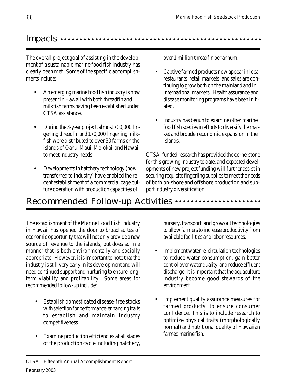### Impacts …………………………………

The overall project goal of assisting in the development of a sustainable marine food fish industry has clearly been met. Some of the specific accomplishments include:

- An emerging marine food fish industry is now present in Hawaii with both threadfin and milkfish farms having been established under CTSA assistance.
- During the 3-year project, almost 700,000 fingerling threadfin and 170,000 fingerling milkfish were distributed to over 30 farms on the islands of Oahu, Maui, Molokai, and Hawaii to meet industry needs.
- Developments in hatchery technology (now transferred to industry) have enabled the recent establishment of a commercial cage culture operation with production capacities of

over 1 million threadfin per annum.

- Captive farmed products now appear in local restaurants, retail markets, and sales are continuing to grow both on the mainland and in international markets. Health assurance and disease monitoring programs have been initiated.
- Industry has begun to examine other marine food fish species in efforts to diversify the market and broaden economic expansion in the Islands.

CTSA-funded research has provided the cornerstone for this growing industry to date, and expected developments of new project funding will further assist in securing requisite fingerling supplies to meet the needs of both on-shore and offshore production and support industry diversification.

## Recommended Follow-up Activities  $\cdots$ ................

The establishment of the Marine Food Fish Industry in Hawaii has opened the door to broad suites of economic opportunity that will not only provide a new source of revenue to the islands, but does so in a manner that is both environmentally and socially appropriate. However, it is important to note that the industry is still very early in its development and will need continued support and nurturing to ensure longterm viability and profitability. Some areas for recommended follow-up include:

- Establish domesticated disease-free stocks with selection for performance-enhancing traits to establish and maintain industry competitiveness.
- Examine production efficiencies at all stages of the production cycle including hatchery,

nursery, transport, and growout technologies to allow farmers to increase productivity from available facilities and labor resources.

- Implement water re-circulation technologies to reduce water consumption, gain better control over water quality, and reduce effluent discharge. It is important that the aquaculture industry become good stewards of the environment.
- Implement quality assurance measures for farmed products, to ensure consumer confidence. This is to include research to optimize physical traits (morphologically normal) and nutritional quality of Hawaiian farmed marine fish.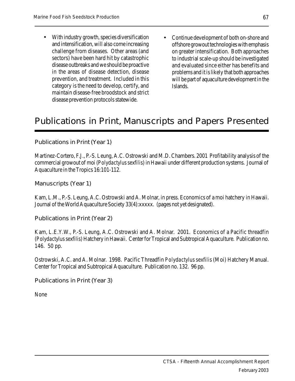- With industry growth, species diversification and intensification, will also come increasing challenge from diseases. Other areas (and sectors) have been hard hit by catastrophic disease outbreaks and we should be proactive in the areas of disease detection, disease prevention, and treatment. Included in this category is the need to develop, certify, and maintain disease-free broodstock and strict disease prevention protocols statewide.
- Continue development of both on-shore and offshore growout technologies with emphasis on greater intensification. Both approaches to industrial scale-up should be investigated and evaluated since either has benefits and problems and it is likely that both approaches will be part of aquaculture development in the Islands.

## Publications in Print, Manuscripts and Papers Presented

Publications in Print (Year 1)

Martinez-Cortero, F.J., P.-S. Leung, A.C. Ostrowski and M.D. Chambers. 2001 Profitability analysis of the commercial growout of moi (Polydactylus sexfilis) in Hawaii under different production systems. Journal of Aquaculture in the Tropics 16:101-112.

Manuscripts (Year 1)

Kam, L.M., P.-S. Leung, A.C. Ostrowski and A. Molnar, in press. Economics of a moi hatchery in Hawaii. Journal of the World Aquaculture Society 33(4):xxxxx. (pages not yet designated).

Publications in Print (Year 2)

Kam, L.E.Y.W., P.-S. Leung, A.C. Ostrowski and A. Molnar. 2001. Economics of a Pacific threadfin (Polydactylus sexfilis) Hatchery in Hawaii. Center for Tropical and Subtropical Aquaculture. Publication no. 146. 50 pp.

Ostrowski, A.C. and A. Molnar. 1998. Pacific Threadfin Polydactylus sexfilis (Moi) Hatchery Manual. Center for Tropical and Subtropical Aquaculture. Publication no. 132. 96 pp.

Publications in Print (Year 3)

None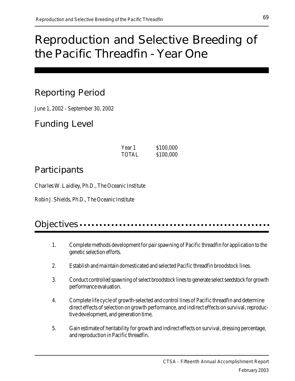## Reproduction and Selective Breeding of the Pacific Threadfin - Year One

## Reporting Period

June 1, 2002 - September 30, 2002

Funding Level

| Year 1 | \$100,000 |
|--------|-----------|
| TOTAL  | \$100,000 |

## **Participants**

Charles W. Laidley, Ph.D., The Oceanic Institute

Robin J. Shields, Ph.D., The Oceanic Institute

### Objectives ..........

- 1. Complete methods development for pair spawning of Pacific threadfin for application to the genetic selection efforts.
- 2. Establish and maintain domesticated and selected Pacific threadfin broodstock lines.
- 3. Conduct controlled spawning of select broodstock lines to generate select seedstock for growth performance evaluation.
- 4. Complete life cycle of growth-selected and control lines of Pacific threadfin and determine direct effects of selection on growth performance, and indirect effects on survival, reproductive development, and generation time.
- 5. Gain estimate of heritability for growth and indirect effects on survival, dressing percentage, and reproduction in Pacific threadfin.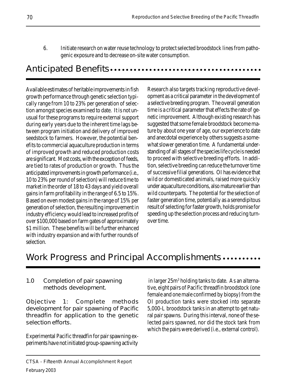6. Initiate research on water reuse technology to protect selected broodstock lines from pathogenic exposure and to decrease on-site water consumption.

### Anticipated Benefits  $\dots\dots\dots\dots\dots\dots\dots$

Available estimates of heritable improvements in fish growth performance through genetic selection typically range from 10 to 23% per generation of selection amongst species examined to date. It is not unusual for these programs to require external support during early years due to the inherent time lags between program initiation and delivery of improved seedstock to farmers. However, the potential benefits to commercial aquaculture production in terms of improved growth and reduced production costs are significant. Most costs, with the exception of feeds, are tied to rates of production or growth. Thus the anticipated improvements in growth performance (i.e., 10 to 23% per round of selection) will reduce time to market in the order of 18 to 43 days and yield overall gains in farm profitability in the range of 6.5 to 15%. Based on even modest gains in the range of 15% per generation of selection, the resulting improvement in industry efficiency would lead to increased profits of over \$100,000 based on farm gates of approximately \$1 million. These benefits will be further enhanced with industry expansion and with further rounds of selection.

Research also targets tracking reproductive development as a critical parameter in the development of a selective breeding program. The overall generation time is a critical parameter that effects the rate of genetic improvement. Although existing research has suggested that some female broodstock become mature by about one year of age, our experience to date and anecdotal experience by others suggests a somewhat slower generation time. A fundamental understanding of all stages of the species life cycle is needed to proceed with selective breeding efforts. In addition, selective breeding can reduce the turnover time of successive filial generations. OI has evidence that wild or domesticated animals, raised more quickly under aquaculture conditions, also mature earlier than wild counterparts. The potential for the selection of faster generation time, potentially as a serendipitous result of selecting for faster growth, holds promise for speeding up the selection process and reducing turnover time.

# Work Progress and Principal Accomplishments .........

### 1.0 Completion of pair spawning methods development.

Objective 1: Complete methods development for pair spawning of Pacific threadfin for application to the genetic selection efforts.

Experimental Pacific threadfin for pair spawning experiments have not initiated group-spawning activity in larger 25m<sup>3</sup> holding tanks to date. As an alternative, eight pairs of Pacific threadfin broodstock (one female and one male confirmed by biopsy) from the OI production tanks were stocked into separate 5,000-L broodstock tanks in an attempt to get natural pair spawns. During this interval, none of the selected pairs spawned, nor did the stock tank from which the pairs were derived (i.e., external control).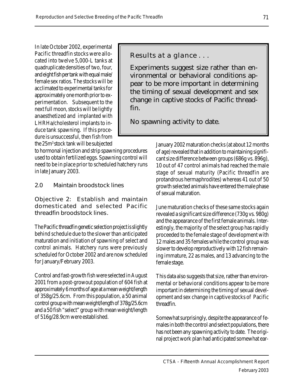In late October 2002, experimental Pacific threadfin stocks were allocated into twelve 5,000-L tanks at quadruplicate densities of two, four, and eight fish per tank with equal male/ female sex ratios. The stocks will be acclimated to experimental tanks for approximately one month prior to experimentation. Subsequent to the next full moon, stocks will be lightly anaesthetized and implanted with LHRHa/cholesterol implants to induce tank spawning. If this procedure is unsuccessful, then fish from the 25m<sup>3</sup> stock tank will be subjected

to hormonal injection and strip spawning procedures used to obtain fertilized eggs. Spawning control will need to be in place prior to scheduled hatchery runs in late January 2003.

### 2.0 Maintain broodstock lines

Objective 2: Establish and maintain domesticated and selected Pacific threadfin broodstock lines.

The Pacific threadfin genetic selection project is slightly behind schedule due to the slower than anticipated maturation and initiation of spawning of select and control animals. Hatchery runs were previously scheduled for October 2002 and are now scheduled for January/February 2003.

Control and fast-growth fish were selected in August 2001 from a post-growout population of 604 fish at approximately 6 months of age at a mean weight/length of 358g/25.6cm. From this population, a 50 animal control group with mean weight/length of 378g/25.6cm and a 50 fish "select" group with mean weight/length of 516g/28.9cm were established.

Results at a glance . . .

Experiments suggest size rather than environmental or behavioral conditions appear to be more important in determining the timing of sexual development and sex change in captive stocks of Pacific threadfin.

No spawning activity to date.

January 2002 maturation checks (at about 12 months of age) revealed that in addition to maintaining significant size difference between groups (686g vs. 896g), 10 out of 47 control animals had reached the male stage of sexual maturity (Pacific threadfin are protandrous hermaphrodites) whereas 41 out of 50 growth selected animals have entered the male phase of sexual maturation.

June maturation checks of these same stocks again revealed a significant size difference (730g vs. 980g) and the appearance of the first female animals. Interestingly, the majority of the select group has rapidly proceeded to the female stage of development with 12 males and 35 females while the control group was slower to develop reproductively with 12 fish remaining immature, 22 as males, and 13 advancing to the female stage.

This data also suggests that size, rather than environmental or behavioral conditions appear to be more important in determining the timing of sexual development and sex change in captive stocks of Pacific threadfin.

Somewhat surprisingly, despite the appearance of females in both the control and select populations, there has not been any spawning activity to date. The original project work plan had anticipated somewhat ear-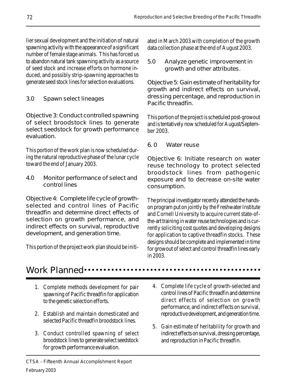lier sexual development and the initiation of natural spawning activity with the appearance of a significant number of female stage animals. This has forced us to abandon natural tank spawning activity as a source of seed stock and increase efforts on hormone induced, and possibly strip-spawning approaches to generate seed stock lines for selection evaluations.

3.0 Spawn select lineages

Objective 3: Conduct controlled spawning of select broodstock lines to generate select seedstock for growth performance evaluation.

This portion of the work plan is now scheduled during the natural reproductive phase of the lunar cycle toward the end of January 2003.

4.0 Monitor performance of select and control lines

Objective 4: Complete life cycle of growthselected and control lines of Pacific threadfin and determine direct effects of selection on growth performance, and indirect effects on survival, reproductive development, and generation time.

This portion of the project work plan should be initi-

ated in March 2003 with completion of the growth data collection phase at the end of August 2003.

5.0 Analyze genetic improvement in growth and other attributes.

Objective 5: Gain estimate of heritability for growth and indirect effects on survival, dressing percentage, and reproduction in Pacific threadfin.

This portion of the project is scheduled post-growout and is tentatively now scheduled for August/September 2003.

6. 0 Water reuse

Objective 6: Initiate research on water reuse technology to protect selected broodstock lines from pathogenic exposure and to decrease on-site water consumption.

The principal investigator recently attended the handson program put on jointly by the Freshwater Institute and Cornell University to acquire current state-ofthe-art training in water reuse technologies and is currently soliciting cost quotes and developing designs for application to captive threadfin stocks. These designs should be complete and implemented in time for growout of select and control threadfin lines early in 2003.

### Work Planned •••

- 1. Complete methods development for pair spawning of Pacific threadfin for application to the genetic selection efforts.
- 2. Establish and maintain domesticated and selected Pacific threadfin broodstock lines.
- 3. Conduct controlled spawning of select broodstock lines to generate select seedstock for growth performance evaluation.
- 4. Complete life cycle of growth-selected and control lines of Pacific threadfin and determine direct effects of selection on growth performance, and indirect effects on survival, reproductive development, and generation time.
- 5. Gain estimate of heritability for growth and indirect effects on survival, dressing percentage, and reproduction in Pacific threadfin.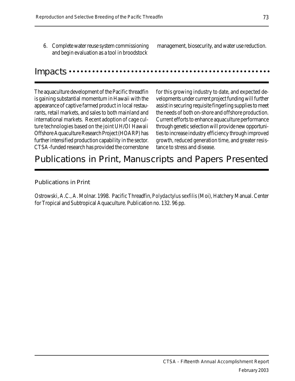6. Complete water reuse system commissioning and begin evaluation as a tool in broodstock

management, biosecurity, and water use reduction.

#### Impacts •

The aquaculture development of the Pacific threadfin is gaining substantial momentum in Hawaii with the appearance of captive farmed product in local restaurants, retail markets, and sales to both mainland and international markets. Recent adoption of cage culture technologies based on the joint UH/OI Hawaii Offshore Aquaculture Research Project (HOARP) has further intensified production capability in the sector. CTSA-funded research has provided the cornerstone

for this growing industry to date, and expected developments under current project funding will further assist in securing requisite fingerling supplies to meet the needs of both on-shore and offshore production. Current efforts to enhance aquaculture performance through genetic selection will provide new opportunities to increase industry efficiency through improved growth, reduced generation time, and greater resistance to stress and disease.

### Publications in Print, Manuscripts and Papers Presented

#### Publications in Print

Ostrowski, A.C., A. Molnar. 1998. Pacific Threadfin, Polydactylus sexfilis (Moi), Hatchery Manual. Center for Tropical and Subtropical Aquaculture. Publication no. 132. 96 pp.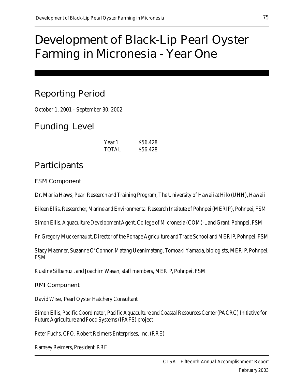# Development of Black-Lip Pearl Oyster Farming in Micronesia - Year One

# Reporting Period

October 1, 2001 - September 30, 2002

### Funding Level

| Year 1       | \$56,428 |
|--------------|----------|
| <b>TOTAL</b> | \$56,428 |

### Participants

FSM Component

Dr. Maria Haws, Pearl Research and Training Program, The University of Hawaii at Hilo (UHH), Hawaii

Eileen Ellis, Researcher, Marine and Environmental Research Institute of Pohnpei (MERIP), Pohnpei, FSM

Simon Ellis, Aquaculture Development Agent, College of Micronesia (COM)-Land Grant, Pohnpei, FSM

Fr. Gregory Muckenhaupt, Director of the Ponape Agriculture and Trade School and MERIP, Pohnpei, FSM

Stacy Maenner, Suzanne O'Connor, Matang Ueanimatang, Tomoaki Yamada, biologists, MERIP, Pohnpei, FSM

Kustine Silbanuz , and Joachim Wasan, staff members, MERIP, Pohnpei, FSM

RMI Component

David Wise, Pearl Oyster Hatchery Consultant

Simon Ellis, Pacific Coordinator, Pacific Aquaculture and Coastal Resources Center (PACRC) Initiative for Future Agriculture and Food Systems (IFAFS) project

Peter Fuchs, CFO, Robert Reimers Enterprises, Inc. (RRE)

Ramsey Reimers, President, RRE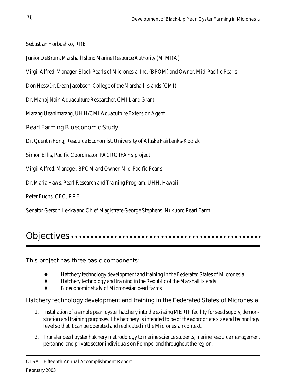Sebastian Horbushko, RRE

Junior DeBrum, Marshall Island Marine Resource Authority (MIMRA)

Virgil Alfred, Manager, Black Pearls of Micronesia, Inc. (BPOM) and Owner, Mid-Pacific Pearls

Don Hess/Dr. Dean Jacobsen, College of the Marshall Islands (CMI)

Dr. Manoj Nair, Aquaculture Researcher, CMI Land Grant

Matang Ueanimatang, UH H/CMI Aquaculture Extension Agent

Pearl Farming Bioeconomic Study

Dr. Quentin Fong, Resource Economist, University of Alaska Fairbanks-Kodiak

Simon Ellis, Pacific Coordinator, PACRC IFAFS project

Virgil Alfred, Manager, BPOM and Owner, Mid-Pacific Pearls

Dr. Maria Haws, Pearl Research and Training Program, UHH, Hawaii

Peter Fuchs, CFO, RRE

Senator Gerson Lekka and Chief Magistrate George Stephens, Nukuoro Pearl Farm

### Objectives .....

This project has three basic components:

- $\bullet$  Hatchery technology development and training in the Federated States of Micronesia
- Hatchery technology and training in the Republic of the Marshall Islands
- Bioeconomic study of Micronesian pearl farms

Hatchery technology development and training in the Federated States of Micronesia

- 1. Installation of a simple pearl oyster hatchery into the existing MERIP facility for seed supply, demonstration and training purposes. The hatchery is intended to be of the appropriate size and technology level so that it can be operated and replicated in the Micronesian context.
- 2. Transfer pearl oyster hatchery methodology to marine science students, marine resource management personnel and private sector individuals on Pohnpei and throughout the region.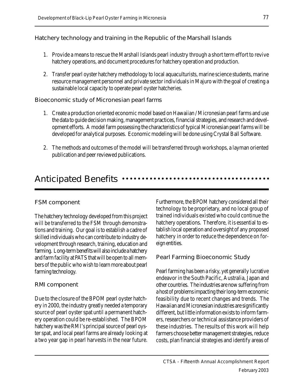Hatchery technology and training in the Republic of the Marshall Islands

- 1. Provide a means to rescue the Marshall Islands pearl industry through a short term effort to revive hatchery operations, and document procedures for hatchery operation and production.
- 2. Transfer pearl oyster hatchery methodology to local aquaculturists, marine science students, marine resource management personnel and private sector individuals in Majuro with the goal of creating a sustainable local capacity to operate pearl oyster hatcheries.

### Bioeconomic study of Micronesian pearl farms

- 1. Create a production oriented economic model based on Hawaiian / Micronesian pearl farms and use the data to guide decision making, management practices, financial strategies, and research and development efforts. A model farm possessing the characteristics of typical Micronesian pearl farms will be developed for analytical purposes. Economic modeling will be done using Crystal Ball Software.
- 2. The methods and outcomes of the model will be transferred through workshops, a layman oriented publication and peer reviewed publications.

## Anticipated Benefits  $\cdots$ ...............

### FSM component

The hatchery technology developed from this project will be transferred to the FSM through demonstrations and training. Our goal is to establish a cadre of skilled individuals who can contribute to industry development through research, training, education and farming. Long-term benefits will also include a hatchery and farm facility at PATS that will be open to all members of the public who wish to learn more about pearl farming technology.

#### RMI component

Due to the closure of the BPOM pearl oyster hatchery in 2000, the industry greatly needed a temporary source of pearl oyster spat until a permanent hatchery operation could be re-established. The BPOM hatchery was the RMI's principal source of pearl oyster spat, and local pearl farms are already looking at a two year gap in pearl harvests in the near future.

Furthermore, the BPOM hatchery considered all their technology to be proprietary, and no local group of trained individuals existed who could continue the hatchery operations. Therefore, it is essential to establish local operation and oversight of any proposed hatchery in order to reduce the dependence on foreign entities.

### Pearl Farming Bioeconomic Study

Pearl farming has been a risky, yet generally lucrative endeavor in the South Pacific, Australia, Japan and other countries. The industries are now suffering from a host of problems impacting their long-term economic feasibility due to recent changes and trends. The Hawaiian and Micronesian industries are significantly different, but little information exists to inform farmers, researchers or technical assistance providers of these industries. The results of this work will help farmers choose better management strategies, reduce costs, plan financial strategies and identify areas of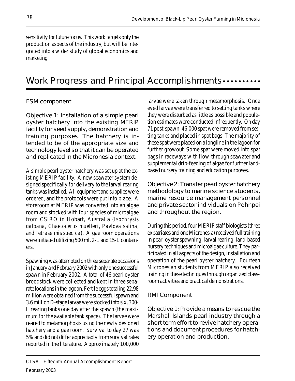sensitivity for future focus. This work targets only the production aspects of the industry, but will be integrated into a wider study of global economics and marketing.

# Work Progress and Principal Accomplishments  $\cdots$ ...

### FSM component

Objective 1: Installation of a simple pearl oyster hatchery into the existing MERIP facility for seed supply, demonstration and training purposes. The hatchery is intended to be of the appropriate size and technology level so that it can be operated and replicated in the Micronesia context.

A simple pearl oyster hatchery was set up at the existing MERIP facility. A new seawater system designed specifically for delivery to the larval rearing tanks was installed. All equipment and supplies were ordered, and the protocols were put into place. A storeroom at MERIP was converted into an algae room and stocked with four species of microalgae from CSIRO in Hobart, Australia (Isochrysis galbana, Chaetocerus muelleri, Pavlova salina, and Tetraselmis suecica). Algae room operations were initiated utilizing 500 ml, 2-L and 15-L containers.

Spawning was attempted on three separate occasions in January and February 2002 with only one successful spawn in February 2002. A total of 46 pearl oyster broodstock were collected and kept in three separate locations in the lagoon. Fertile eggs totaling 22.98 million were obtained from the successful spawn and 3.6 million D-stage larvae were stocked into six, 300- L rearing tanks one day after the spawn (the maximum for the available tank space). The larvae were reared to metamorphosis using the newly designed hatchery and algae room. Survival to day 27 was 5% and did not differ appreciably from survival rates reported in the literature. Approximately 100,000 larvae were taken through metamorphosis. Once eyed larvae were transferred to setting tanks where they were disturbed as little as possible and population estimates were conducted infrequently. On day 71 post-spawn, 46,000 spat were removed from setting tanks and placed in spat bags. The majority of these spat were placed on a longline in the lagoon for further growout. Some spat were moved into spat bags in raceways with flow-through seawater and supplemental drip-feeding of algae for further landbased nursery training and education purposes.

Objective 2: Transfer pearl oyster hatchery methodology to marine science students, marine resource management personnel and private sector individuals on Pohnpei and throughout the region.

During this period, four MERIP staff biologists (three expatriates and one Micronesia) received full training in pearl oyster spawning, larval rearing, land-based nursery techniques and microalgae culture. They participated in all aspects of the design, installation and operation of the pearl oyster hatchery. Fourteen Micronesian students from MERIP also received training in these techniques through organized classroom activities and practical demonstrations.

### RMI Component

Objective 1: Provide a means to rescue the Marshall Islands pearl industry through a short term effort to revive hatchery operations and document procedures for hatchery operation and production.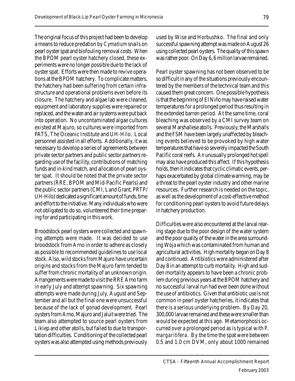The original focus of this project had been to develop a means to reduce predation by Cymatium snails on pearl oyster spat and biofouling removal costs. When the BPOM pearl oyster hatchery closed, these experiments were no longer possible due to the lack of oyster spat. Efforts were then made to revive operations at the BPOM hatchery. To complicate matters, the hatchery had been suffering from certain infrastructure and operational problems even before its closure. The hatchery and algae lab were cleaned, equipment and laboratory supplies were repaired or replaced, and the water and air systems were put back into operation. No uncontaminated algae cultures existed at Majuro, so cultures were imported from PATS, The Oceanic Institute and UH-Hilo. Local personnel assisted in all efforts. Additionally, it was necessary to develop a series of agreements between private sector partners and public sector partners regarding use of the facility, contributions of matching funds and in-kind match, and allocation of pearl oyster spat. It should be noted that the private sector partners (RRE, BPOM and Mid-Pacific Pearls) and the public sector partners (CMI, Land Grant, PRTP/ UH-Hilo) dedicated a significant amount of funds, time and effort to the initiative. Many individuals who were not obligated to do so, volunteered their time preparing for and participating in this work.

Broodstock pearl oysters were collected and spawning attempts were made. It was decided to use broodstock from Arno in order to adhere as closely as possible to recommended guidelines to use local stock. Also, wild stocks from Majuro have uncertain origins and stocks from the Majuro farm tended to suffer from chronic mortality of an unknown origin. Arrangements were made to visit the RRE Arno farm in early July and attempt spawning. Six spawning attempts were made during July, August and September and all but the final one were unsuccessful because of the lack of gonad development. Pearl oysters from Arno, Majuro and Jaluit were tried. The team also attempted to source pearl oysters from Likiep and other atolls, but failed to due to transportation difficulties. Conditioning of the collected pearl oysters was also attempted using methods previously

used by Wise and Horbushko. The final and only successful spawning attempt was made on August 26 using collected pearl oysters. The quality of this spawn was rather poor. On Day 6, 6 million larvae remained.

Pearl oyster spawning has not been observed to be so difficult in any of the situations previously encountered by the members of the technical team and this caused them great concern. One possible hypothesis is that the beginning of El Niño may have raised water temperatures for a prolonged period thus resulting in the extended barren period. At the same time, coral bleaching was observed by a CMI survey team on several Marshallese atolls. Previously, the Marshalls and the FSM have been largely unaffected by bleaching events believed to be provoked by high water temperatures that have so severely impacted the South Pacific coral reefs. An unusually prolonged hot spell may also have produced this affect. If this hypothesis holds, then it indicates that cyclic climatic events, perhaps exacerbated by global climate warming, may be a threat to the pearl oyster industry and other marine resources. Further research is needed on the topic, as well as the development of a cost-effective method for conditioning pearl oysters to avoid future delays in hatchery production.

Difficulties were also encountered at the larval rearing stage due to the poor design of the water system and the poor quality of the water in the area surrounding Woja which was contaminated from human and agricultural activities. High mortality began on Day 8 and continued. Antibiotics were administered after Day 8 in an attempt to curb mortality. High and sudden mortality appears to have been a chronic problem during previous years at the BPOM hatchery and no successful larval run had ever been done without the use of antibiotics. Given that antibiotic use is not common in pearl oyster hatcheries, it indicates that there is a serious underlying problem. By Day 20, 300,000 larvae remained and these were smaller than would be expected at this age. Metamorphosis occurred over a prolonged period as is typical with P. margaritifera. By the time the spat were between 0.5 and 1.0 cm DVM, only about 1000 remained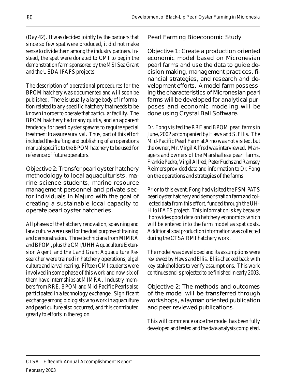(Day 42). It was decided jointly by the partners that since so few spat were produced, it did not make sense to divide them among the industry partners. Instead, the spat were donated to CMI to begin the demonstration farm sponsored by the MSI Sea Grant and the USDA IFAFS projects.

The description of operational procedures for the BPOM hatchery was documented and will soon be published. There is usually a large body of information related to any specific hatchery that needs to be known in order to operate that particular facility. The BPOM hatchery had many quirks, and an apparent tendency for pearl oyster spawns to require special treatment to assure survival. Thus, part of this effort included the drafting and publishing of an operations manual specific to the BPOM hatchery to be used for reference of future operators.

Objective 2: Transfer pearl oyster hatchery methodology to local aquaculturists, marine science students, marine resource management personnel and private sector individuals in Majuro with the goal of creating a sustainable local capacity to operate pearl oyster hatcheries.

All phases of the hatchery renovation, spawning and larviculture were used for the dual purpose of training and demonstration. Three technicians from MIMRA and BPOM, plus the CMI/UHH Aquaculture Extension Agent, and the Land Grant Aquaculture Researcher were trained in hatchery operations, algal culture and larval rearing. Fifteen CMI students were involved in some phase of this work and now six of them have internships at MIMRA. Industry members from RRE, BPOM and Mid-Pacific Pearls also participated in a technology exchange. Significant exchange among biologists who work in aquaculture and pearl culture also occurred, and this contributed greatly to efforts in the region.

Pearl Farming Bioeconomic Study

Objective 1: Create a production oriented economic model based on Micronesian pearl farms and use the data to guide decision making, management practices, financial strategies, and research and development efforts. A model farm possessing the characteristics of Micronesian pearl farms will be developed for analytical purposes and economic modeling will be done using Crystal Ball Software.

Dr. Fong visited the RRE and BPOM pearl farms in June, 2002 accompanied by Haws and S. Ellis. The Mid-Pacific Pearl Farm at Arno was not visited, but the owner, Mr. Virgil Alfred was interviewed. Managers and owners of the Marshallese pearl farms, Frankie Pedro, Virgil Alfred, Peter Fuchs and Ramsey Reimers provided data and information to Dr. Fong on the operations and strategies of the farms.

Prior to this event, Fong had visited the FSM PATS pearl oyster hatchery and demonstration farm and collected data from this effort, funded through the UH-Hilo IFAFS project. This information is key because it provides good data on hatchery economics which will be entered into the farm model as spat costs. Additional spat production information was collected during the CTSA RMI hatchery work.

The model was developed and its assumptions were reviewed by Haws and Ellis. Ellis checked back with key stakeholders to verify assumptions. This work continues and is projected to be finished in early 2003.

Objective 2: The methods and outcomes of the model will be transferred through workshops, a layman oriented publication and peer reviewed publications.

This will commence once the model has been fully developed and tested and the data analysis completed.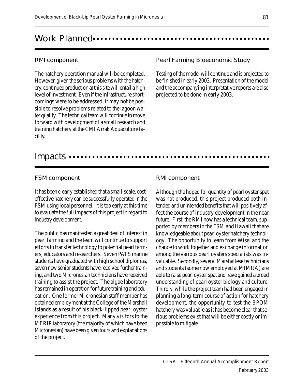### Work Planned .......................

#### RMI component

The hatchery operation manual will be completed. However, given the serious problems with the hatchery, continued production at this site will entail a high level of investment. Even if the infrastructure shortcomings were to be addressed, it may not be possible to resolve problems related to the lagoon water quality. The technical team will continue to move forward with development of a small research and training hatchery at the CMI Arrak Aquaculture facility.

Pearl Farming Bioeconomic Study

Testing of the model will continue and is projected to be finished in early 2003. Presentation of the model and the accompanying interpretative reports are also projected to be done in early 2003.

### Impacts ………

#### FSM component

It has been clearly established that a small-scale, costeffective hatchery can be successfully operated in the FSM using local personnel. It is too early at this time to evaluate the full impacts of this project in regard to industry development.

The public has manifested a great deal of interest in pearl farming and the team will continue to support efforts to transfer technology to potential pearl farmers, educators and researchers. Seven PATS marine students have graduated with high school diplomas, seven new senior students have received further training, and two Micronesian technicians have received training to assist the project. The algae laboratory has remained in operation for future training and education. One former Micronesian staff member has obtained employment at the College of the Marshall Islands as a result of his black-lipped pearl oyster experience from this project. Many visitors to the MERIP laboratory (the majority of which have been Micronesian) have been given tours and explanations of the project.

#### RMI component

Although the hoped for quantity of pearl oyster spat was not produced, this project produced both intended and unintended benefits that will positively affect the course of industry development in the near future. First, the RMI now has a technical team, supported by members in the FSM and Hawaii that are knowledgeable about pearl oyster hatchery technology. The opportunity to learn from Wise, and the chance to work together and exchange information among the various pearl oysters specialists was invaluable. Secondly, several Marshallese technicians and students (some now employed at MIMRA) are able to raise pearl oyster spat and have gained a broad understanding of pearl oyster biology and culture. Thirdly, while the project team had been engaged in planning a long-term course of action for hatchery development, the opportunity to test the BPOM hatchery was valuable as it has become clear that serious problems exist that will be either costly or impossible to mitigate.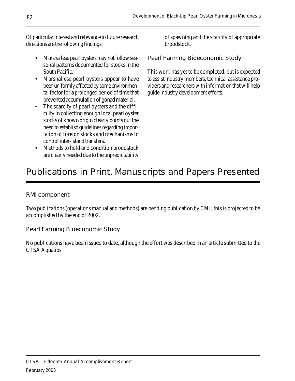Of particular interest and relevance to future research directions are the following findings:

- Marshallese pearl oysters may not follow seasonal patterns documented for stocks in the South Pacific.
- Marshallese pearl oysters appear to have been uniformly affected by some environmental factor for a prolonged period of time that prevented accumulation of gonad material.
- The scarcity of pearl oysters and the difficulty in collecting enough local pearl oyster stocks of known origin clearly points out the need to establish guidelines regarding importation of foreign stocks and mechanisms to control inter-island transfers.
- Methods to hold and condition broodstock are clearly needed due to the unpredictability

of spawning and the scarcity of appropriate broodstock.

Pearl Farming Bioeconomic Study

This work has yet to be completed, but is expected to assist industry members, technical assistance providers and researchers with information that will help guide industry development efforts.

# Publications in Print, Manuscripts and Papers Presented

RMI component

Two publications (operations manual and methods) are pending publication by CMI; this is projected to be accomplished by the end of 2002.

Pearl Farming Bioeconomic Study

No publications have been issued to date, although the effort was described in an article submitted to the CTSA Aquatips.